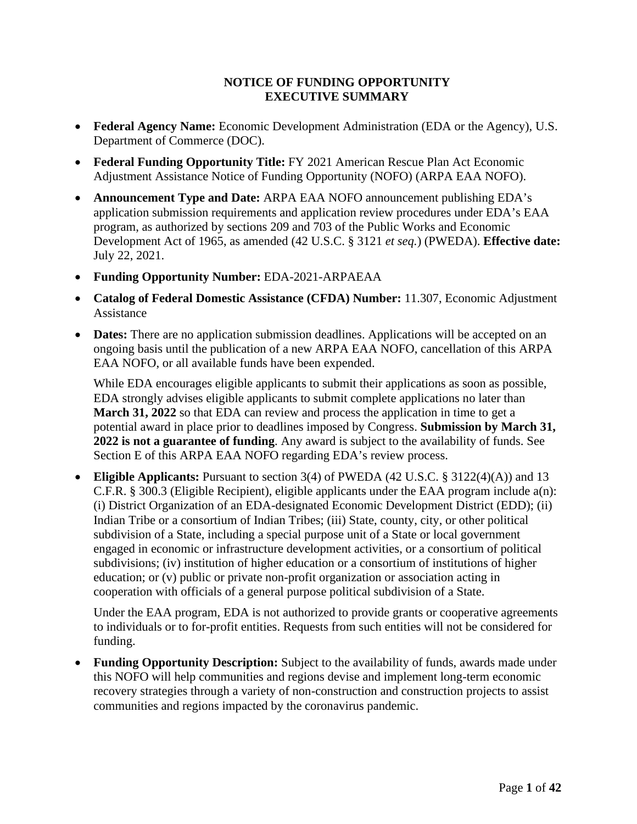#### **NOTICE OF FUNDING OPPORTUNITY EXECUTIVE SUMMARY**

- **Federal Agency Name:** Economic Development Administration (EDA or the Agency), U.S. Department of Commerce (DOC).
- **Federal Funding Opportunity Title:** FY 2021 American Rescue Plan Act Economic Adjustment Assistance Notice of Funding Opportunity (NOFO) (ARPA EAA NOFO).
- **Announcement Type and Date:** ARPA EAA NOFO announcement publishing EDA's application submission requirements and application review procedures under EDA's EAA program, as authorized by sections 209 and 703 of the Public Works and Economic Development Act of 1965, as amended (42 U.S.C. § 3121 *et seq.*) (PWEDA). **Effective date:** July 22, 2021.
- **Funding Opportunity Number:** EDA-2021-ARPAEAA
- **Catalog of Federal Domestic Assistance (CFDA) Number:** 11.307, Economic Adjustment Assistance
- **Dates:** There are no application submission deadlines. Applications will be accepted on an ongoing basis until the publication of a new ARPA EAA NOFO, cancellation of this ARPA EAA NOFO, or all available funds have been expended.

While EDA encourages eligible applicants to submit their applications as soon as possible, EDA strongly advises eligible applicants to submit complete applications no later than **March 31, 2022** so that EDA can review and process the application in time to get a potential award in place prior to deadlines imposed by Congress. **Submission by March 31, 2022 is not a guarantee of funding**. Any award is subject to the availability of funds. See Section E of this ARPA EAA NOFO regarding EDA's review process.

• **Eligible Applicants:** Pursuant to section 3(4) of PWEDA (42 U.S.C. § 3122(4)(A)) and 13 C.F.R. § 300.3 (Eligible Recipient), eligible applicants under the EAA program include a(n): (i) District Organization of an EDA-designated Economic Development District (EDD); (ii) Indian Tribe or a consortium of Indian Tribes; (iii) State, county, city, or other political subdivision of a State, including a special purpose unit of a State or local government engaged in economic or infrastructure development activities, or a consortium of political subdivisions; (iv) institution of higher education or a consortium of institutions of higher education; or (v) public or private non-profit organization or association acting in cooperation with officials of a general purpose political subdivision of a State.

Under the EAA program, EDA is not authorized to provide grants or cooperative agreements to individuals or to for-profit entities. Requests from such entities will not be considered for funding.

• **Funding Opportunity Description:** Subject to the availability of funds, awards made under this NOFO will help communities and regions devise and implement long-term economic recovery strategies through a variety of non-construction and construction projects to assist communities and regions impacted by the coronavirus pandemic.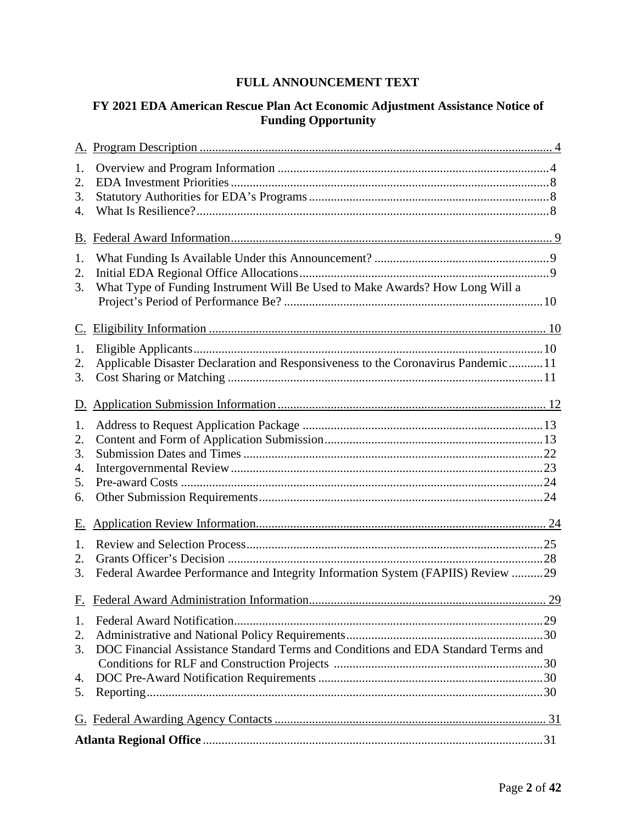# **FULL ANNOUNCEMENT TEXT**

### **FY 2021 EDA American Rescue Plan Act Economic Adjustment Assistance Notice of Funding Opportunity**

| 1.<br>2.<br>3.<br>4.             |                                                                                   |  |  |
|----------------------------------|-----------------------------------------------------------------------------------|--|--|
| B.                               |                                                                                   |  |  |
| 1.<br>2.<br>3.                   | What Type of Funding Instrument Will Be Used to Make Awards? How Long Will a      |  |  |
| $C_{\cdot}$                      |                                                                                   |  |  |
| 1.<br>2.<br>3.                   | Applicable Disaster Declaration and Responsiveness to the Coronavirus Pandemic11  |  |  |
| D.                               |                                                                                   |  |  |
| 1.<br>2.<br>3.<br>4.<br>5.<br>6. |                                                                                   |  |  |
| Е.                               |                                                                                   |  |  |
| 1.<br>2.<br>3.                   | Federal Awardee Performance and Integrity Information System (FAPIIS) Review 29   |  |  |
|                                  |                                                                                   |  |  |
| 1.<br>2.                         |                                                                                   |  |  |
| 3.<br>4.<br>5.                   | DOC Financial Assistance Standard Terms and Conditions and EDA Standard Terms and |  |  |
|                                  |                                                                                   |  |  |
|                                  |                                                                                   |  |  |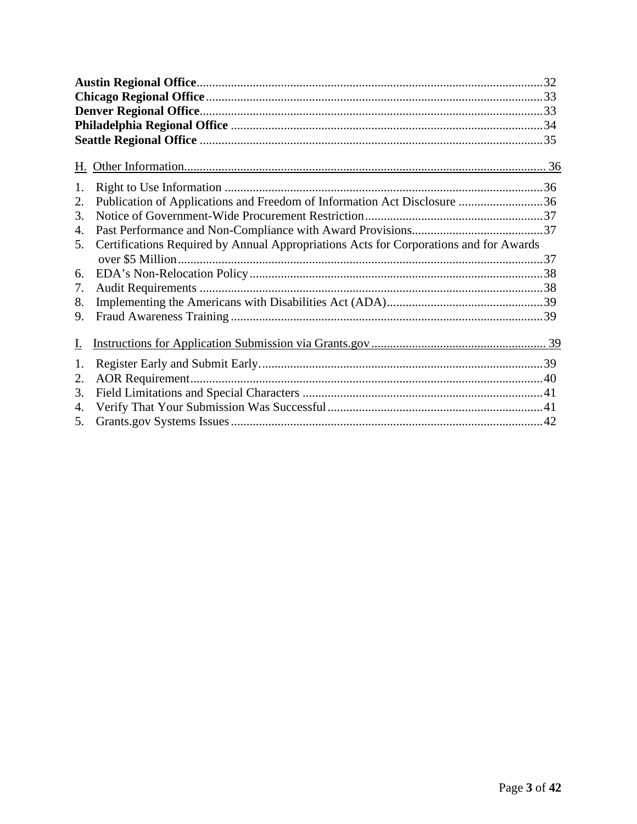| 1. |                                                                                       |  |  |
|----|---------------------------------------------------------------------------------------|--|--|
| 2. | Publication of Applications and Freedom of Information Act Disclosure 36              |  |  |
| 3. |                                                                                       |  |  |
| 4. |                                                                                       |  |  |
| 5. | Certifications Required by Annual Appropriations Acts for Corporations and for Awards |  |  |
|    |                                                                                       |  |  |
| 6. |                                                                                       |  |  |
| 7. |                                                                                       |  |  |
| 8. |                                                                                       |  |  |
| 9. |                                                                                       |  |  |
| I. |                                                                                       |  |  |
| 1. |                                                                                       |  |  |
| 2. |                                                                                       |  |  |
| 3. |                                                                                       |  |  |
| 4. |                                                                                       |  |  |
| 5. |                                                                                       |  |  |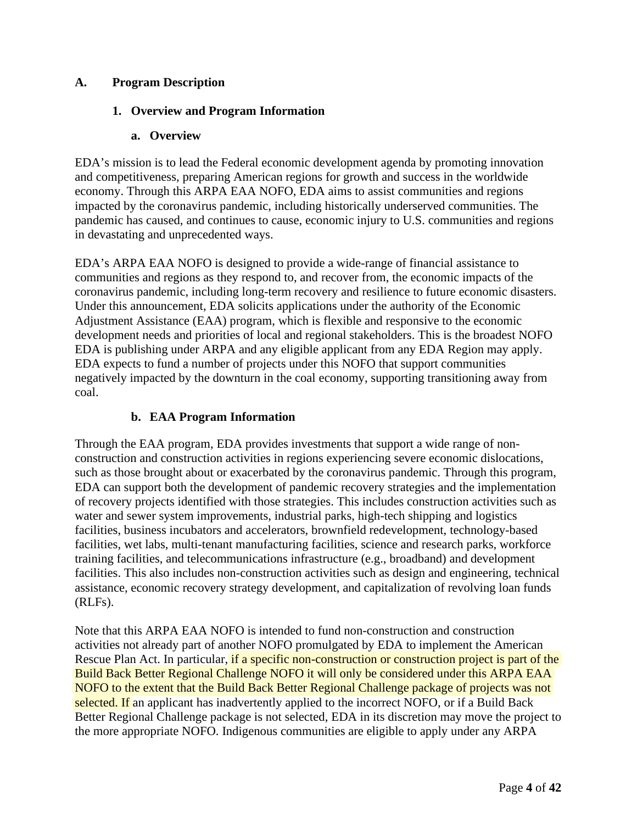### <span id="page-3-1"></span><span id="page-3-0"></span>**A. Program Description**

### **1. Overview and Program Information**

#### **a. Overview**

EDA's mission is to lead the Federal economic development agenda by promoting innovation and competitiveness, preparing American regions for growth and success in the worldwide economy. Through this ARPA EAA NOFO, EDA aims to assist communities and regions impacted by the coronavirus pandemic, including historically underserved communities. The pandemic has caused, and continues to cause, economic injury to U.S. communities and regions in devastating and unprecedented ways.

EDA's ARPA EAA NOFO is designed to provide a wide-range of financial assistance to communities and regions as they respond to, and recover from, the economic impacts of the coronavirus pandemic, including long-term recovery and resilience to future economic disasters. Under this announcement, EDA solicits applications under the authority of the Economic Adjustment Assistance (EAA) program, which is flexible and responsive to the economic development needs and priorities of local and regional stakeholders. This is the broadest NOFO EDA is publishing under ARPA and any eligible applicant from any EDA Region may apply. EDA expects to fund a number of projects under this NOFO that support communities negatively impacted by the downturn in the coal economy, supporting transitioning away from coal.

### **b. EAA Program Information**

Through the EAA program, EDA provides investments that support a wide range of nonconstruction and construction activities in regions experiencing severe economic dislocations, such as those brought about or exacerbated by the coronavirus pandemic. Through this program, EDA can support both the development of pandemic recovery strategies and the implementation of recovery projects identified with those strategies. This includes construction activities such as water and sewer system improvements, industrial parks, high-tech shipping and logistics facilities, business incubators and accelerators, brownfield redevelopment, technology-based facilities, wet labs, multi-tenant manufacturing facilities, science and research parks, workforce training facilities, and telecommunications infrastructure (e.g., broadband) and development facilities. This also includes non-construction activities such as design and engineering, technical assistance, economic recovery strategy development, and capitalization of revolving loan funds (RLFs).

Note that this ARPA EAA NOFO is intended to fund non-construction and construction activities not already part of another NOFO promulgated by EDA to implement the American Rescue Plan Act. In particular, if a specific non-construction or construction project is part of the Build Back Better Regional Challenge NOFO it will only be considered under this ARPA EAA NOFO to the extent that the Build Back Better Regional Challenge package of projects was not selected. If an applicant has inadvertently applied to the incorrect NOFO, or if a Build Back Better Regional Challenge package is not selected, EDA in its discretion may move the project to the more appropriate NOFO. Indigenous communities are eligible to apply under any ARPA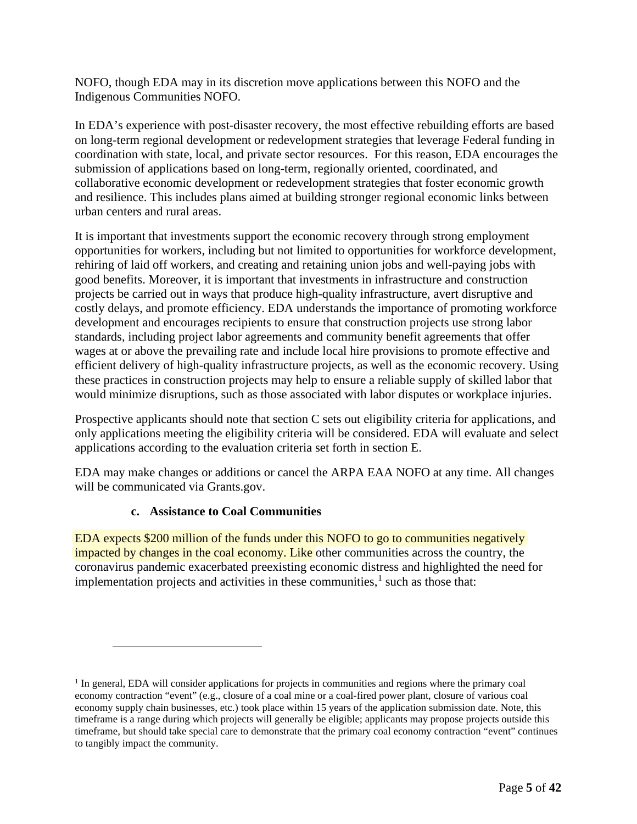NOFO, though EDA may in its discretion move applications between this NOFO and the Indigenous Communities NOFO.

In EDA's experience with post-disaster recovery, the most effective rebuilding efforts are based on long-term regional development or redevelopment strategies that leverage Federal funding in coordination with state, local, and private sector resources. For this reason, EDA encourages the submission of applications based on long-term, regionally oriented, coordinated, and collaborative economic development or redevelopment strategies that foster economic growth and resilience. This includes plans aimed at building stronger regional economic links between urban centers and rural areas.

It is important that investments support the economic recovery through strong employment opportunities for workers, including but not limited to opportunities for workforce development, rehiring of laid off workers, and creating and retaining union jobs and well-paying jobs with good benefits. Moreover, it is important that investments in infrastructure and construction projects be carried out in ways that produce high-quality infrastructure, avert disruptive and costly delays, and promote efficiency. EDA understands the importance of promoting workforce development and encourages recipients to ensure that construction projects use strong labor standards, including project labor agreements and community benefit agreements that offer wages at or above the prevailing rate and include local hire provisions to promote effective and efficient delivery of high-quality infrastructure projects, as well as the economic recovery. Using these practices in construction projects may help to ensure a reliable supply of skilled labor that would minimize disruptions, such as those associated with labor disputes or workplace injuries.

Prospective applicants should note that section C sets out eligibility criteria for applications, and only applications meeting the eligibility criteria will be considered. EDA will evaluate and select applications according to the evaluation criteria set forth in section E.

EDA may make changes or additions or cancel the ARPA EAA NOFO at any time. All changes will be communicated via Grants.gov.

#### **c. Assistance to Coal Communities**

EDA expects \$200 million of the funds under this NOFO to go to communities negatively impacted by changes in the coal economy. Like other communities across the country, the coronavirus pandemic exacerbated preexisting economic distress and highlighted the need for implementation projects and activities in these communities,<sup>[1](#page-4-0)</sup> such as those that:

<span id="page-4-0"></span><sup>&</sup>lt;sup>1</sup> In general, EDA will consider applications for projects in communities and regions where the primary coal economy contraction "event" (e.g., closure of a coal mine or a coal-fired power plant, closure of various coal economy supply chain businesses, etc.) took place within 15 years of the application submission date. Note, this timeframe is a range during which projects will generally be eligible; applicants may propose projects outside this timeframe, but should take special care to demonstrate that the primary coal economy contraction "event" continues to tangibly impact the community.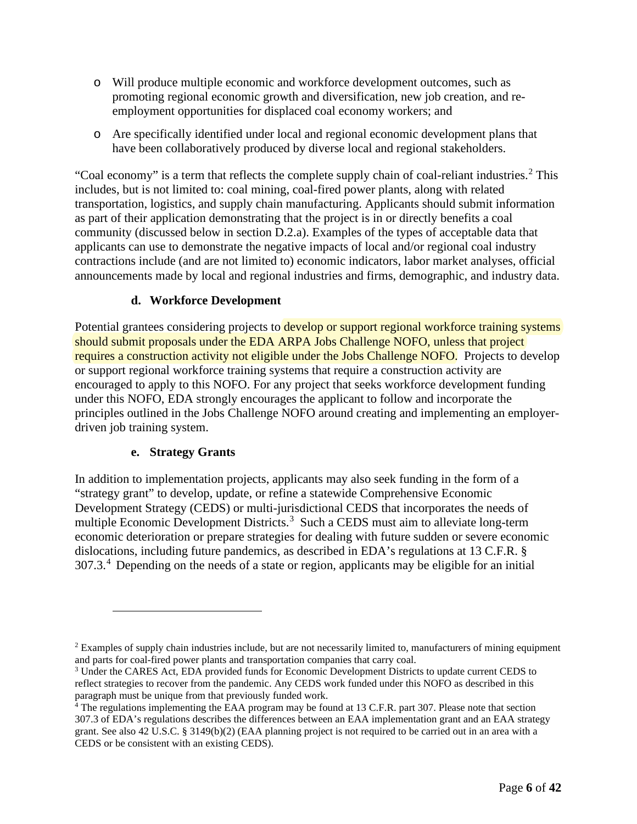- o Will produce multiple economic and workforce development outcomes, such as promoting regional economic growth and diversification, new job creation, and reemployment opportunities for displaced coal economy workers; and
- o Are specifically identified under local and regional economic development plans that have been collaboratively produced by diverse local and regional stakeholders.

"Coal economy" is a term that reflects the complete supply chain of coal-reliant industries.<sup>[2](#page-5-0)</sup> This includes, but is not limited to: coal mining, coal-fired power plants, along with related transportation, logistics, and supply chain manufacturing. Applicants should submit information as part of their application demonstrating that the project is in or directly benefits a coal community (discussed below in section D.2.a). Examples of the types of acceptable data that applicants can use to demonstrate the negative impacts of local and/or regional coal industry contractions include (and are not limited to) economic indicators, labor market analyses, official announcements made by local and regional industries and firms, demographic, and industry data.

#### **d. Workforce Development**

Potential grantees considering projects to develop or support regional workforce training systems should submit proposals under the EDA ARPA Jobs Challenge NOFO, unless that project requires a construction activity not eligible under the Jobs Challenge NOFO. Projects to develop or support regional workforce training systems that require a construction activity are encouraged to apply to this NOFO. For any project that seeks workforce development funding under this NOFO, EDA strongly encourages the applicant to follow and incorporate the principles outlined in the Jobs Challenge NOFO around creating and implementing an employerdriven job training system.

#### **e. Strategy Grants**

In addition to implementation projects, applicants may also seek funding in the form of a "strategy grant" to develop, update, or refine a statewide Comprehensive Economic Development Strategy (CEDS) or multi-jurisdictional CEDS that incorporates the needs of multiple Economic Development Districts.<sup>[3](#page-5-1)</sup> Such a CEDS must aim to alleviate long-term economic deterioration or prepare strategies for dealing with future sudden or severe economic dislocations, including future pandemics, as described in EDA's regulations at 13 C.F.R. § 307.3.[4](#page-5-2) Depending on the needs of a state or region, applicants may be eligible for an initial

<span id="page-5-0"></span><sup>&</sup>lt;sup>2</sup> Examples of supply chain industries include, but are not necessarily limited to, manufacturers of mining equipment and parts for coal-fired power plants and transportation companies that carry coal.

<span id="page-5-1"></span><sup>3</sup> Under the CARES Act, EDA provided funds for Economic Development Districts to update current CEDS to reflect strategies to recover from the pandemic. Any CEDS work funded under this NOFO as described in this paragraph must be unique from that previously funded work.

<span id="page-5-2"></span><sup>&</sup>lt;sup>4</sup> The regulations implementing the EAA program may be found at 13 C.F.R. part 307. Please note that section 307.3 of EDA's regulations describes the differences between an EAA implementation grant and an EAA strategy grant. See also 42 U.S.C. § 3149(b)(2) (EAA planning project is not required to be carried out in an area with a CEDS or be consistent with an existing CEDS).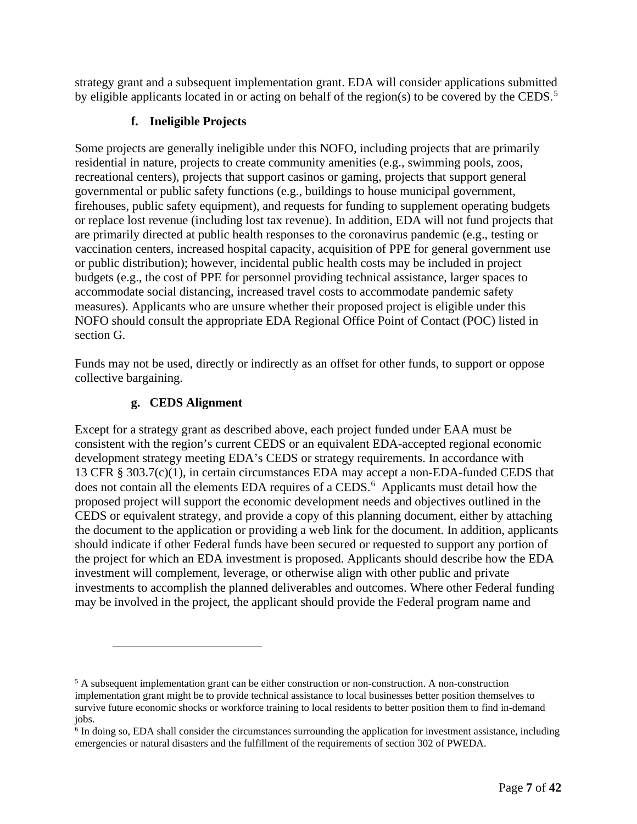strategy grant and a subsequent implementation grant. EDA will consider applications submitted by eligible applicants located in or acting on behalf of the region(s) to be covered by the CEDS.<sup>[5](#page-6-0)</sup>

### **f. Ineligible Projects**

Some projects are generally ineligible under this NOFO, including projects that are primarily residential in nature, projects to create community amenities (e.g., swimming pools, zoos, recreational centers), projects that support casinos or gaming, projects that support general governmental or public safety functions (e.g., buildings to house municipal government, firehouses, public safety equipment), and requests for funding to supplement operating budgets or replace lost revenue (including lost tax revenue). In addition, EDA will not fund projects that are primarily directed at public health responses to the coronavirus pandemic (e.g., testing or vaccination centers, increased hospital capacity, acquisition of PPE for general government use or public distribution); however, incidental public health costs may be included in project budgets (e.g., the cost of PPE for personnel providing technical assistance, larger spaces to accommodate social distancing, increased travel costs to accommodate pandemic safety measures). Applicants who are unsure whether their proposed project is eligible under this NOFO should consult the appropriate EDA Regional Office Point of Contact (POC) listed in section G.

Funds may not be used, directly or indirectly as an offset for other funds, to support or oppose collective bargaining.

### **g. CEDS Alignment**

Except for a strategy grant as described above, each project funded under EAA must be consistent with the region's current CEDS or an equivalent EDA-accepted regional economic development strategy meeting EDA's CEDS or strategy requirements. In accordance with 13 CFR § 303.7(c)(1), in certain circumstances EDA may accept a non-EDA-funded CEDS that does not contain all the elements EDA requires of a CEDS.<sup>[6](#page-6-1)</sup> Applicants must detail how the proposed project will support the economic development needs and objectives outlined in the CEDS or equivalent strategy, and provide a copy of this planning document, either by attaching the document to the application or providing a web link for the document. In addition, applicants should indicate if other Federal funds have been secured or requested to support any portion of the project for which an EDA investment is proposed. Applicants should describe how the EDA investment will complement, leverage, or otherwise align with other public and private investments to accomplish the planned deliverables and outcomes. Where other Federal funding may be involved in the project, the applicant should provide the Federal program name and

<span id="page-6-0"></span> $<sup>5</sup>$  A subsequent implementation grant can be either construction or non-construction. A non-construction</sup> implementation grant might be to provide technical assistance to local businesses better position themselves to survive future economic shocks or workforce training to local residents to better position them to find in-demand jobs.

<span id="page-6-1"></span><sup>6</sup> In doing so, EDA shall consider the circumstances surrounding the application for investment assistance, including emergencies or natural disasters and the fulfillment of the requirements of section 302 of PWEDA.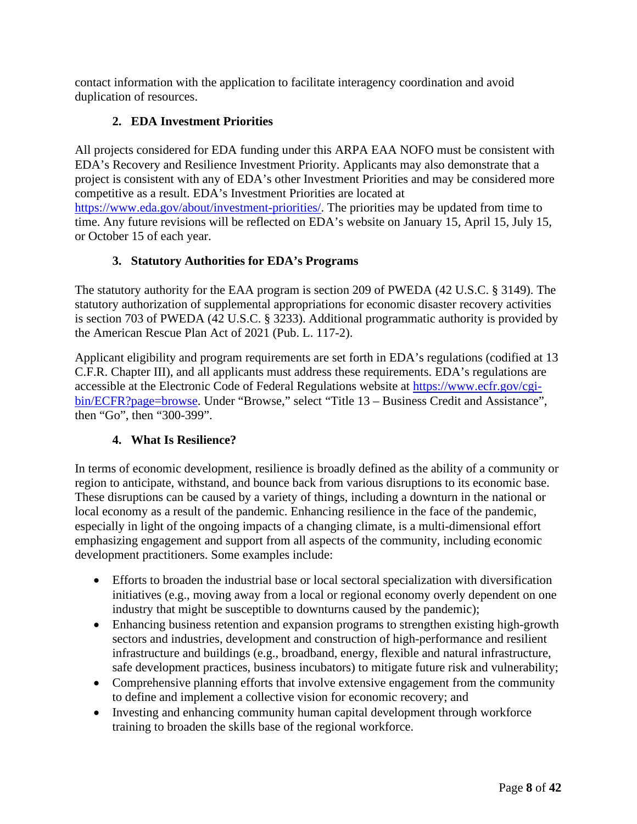contact information with the application to facilitate interagency coordination and avoid duplication of resources.

### **2. EDA Investment Priorities**

<span id="page-7-0"></span>All projects considered for EDA funding under this ARPA EAA NOFO must be consistent with EDA's Recovery and Resilience Investment Priority. Applicants may also demonstrate that a project is consistent with any of EDA's other Investment Priorities and may be considered more competitive as a result. EDA's Investment Priorities are located at [https://www.eda.gov/about/investment-priorities/.](https://www.eda.gov/about/investment-priorities/) The priorities may be updated from time to time. Any future revisions will be reflected on EDA's website on January 15, April 15, July 15, or October 15 of each year.

## **3. Statutory Authorities for EDA's Programs**

<span id="page-7-1"></span>The statutory authority for the EAA program is section 209 of PWEDA (42 U.S.C. § 3149). The statutory authorization of supplemental appropriations for economic disaster recovery activities is section 703 of PWEDA (42 U.S.C. § 3233). Additional programmatic authority is provided by the American Rescue Plan Act of 2021 (Pub. L. 117-2).

Applicant eligibility and program requirements are set forth in EDA's regulations (codified at 13 C.F.R. Chapter III), and all applicants must address these requirements. EDA's regulations are accessible at the Electronic Code of Federal Regulations website at [https://www.ecfr.gov/cgi](https://www.ecfr.gov/cgi-bin/ECFR?page=browse)[bin/ECFR?page=browse.](https://www.ecfr.gov/cgi-bin/ECFR?page=browse) Under "Browse," select "Title 13 – Business Credit and Assistance", then "Go", then "300-399".

### **4. What Is Resilience?**

<span id="page-7-2"></span>In terms of economic development, resilience is broadly defined as the ability of a community or region to anticipate, withstand, and bounce back from various disruptions to its economic base. These disruptions can be caused by a variety of things, including a downturn in the national or local economy as a result of the pandemic. Enhancing resilience in the face of the pandemic, especially in light of the ongoing impacts of a changing climate, is a multi-dimensional effort emphasizing engagement and support from all aspects of the community, including economic development practitioners. Some examples include:

- Efforts to broaden the industrial base or local sectoral specialization with diversification initiatives (e.g., moving away from a local or regional economy overly dependent on one industry that might be susceptible to downturns caused by the pandemic);
- Enhancing business retention and expansion programs to strengthen existing high-growth sectors and industries, development and construction of high-performance and resilient infrastructure and buildings (e.g., broadband, energy, flexible and natural infrastructure, safe development practices, business incubators) to mitigate future risk and vulnerability;
- Comprehensive planning efforts that involve extensive engagement from the community to define and implement a collective vision for economic recovery; and
- Investing and enhancing community human capital development through workforce training to broaden the skills base of the regional workforce.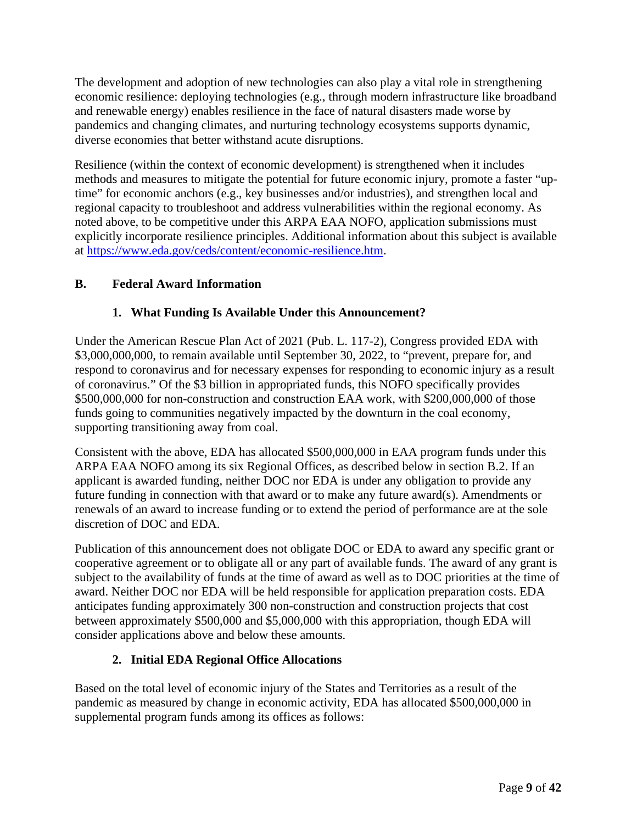The development and adoption of new technologies can also play a vital role in strengthening economic resilience: deploying technologies (e.g., through modern infrastructure like broadband and renewable energy) enables resilience in the face of natural disasters made worse by pandemics and changing climates, and nurturing technology ecosystems supports dynamic, diverse economies that better withstand acute disruptions.

Resilience (within the context of economic development) is strengthened when it includes methods and measures to mitigate the potential for future economic injury, promote a faster "uptime" for economic anchors (e.g., key businesses and/or industries), and strengthen local and regional capacity to troubleshoot and address vulnerabilities within the regional economy. As noted above, to be competitive under this ARPA EAA NOFO, application submissions must explicitly incorporate resilience principles. Additional information about this subject is available at [https://www.eda.gov/ceds/content/economic-resilience.htm.](https://www.eda.gov/ceds/content/economic-resilience.htm)

### <span id="page-8-1"></span><span id="page-8-0"></span>**B. Federal Award Information**

### **1. What Funding Is Available Under this Announcement?**

Under the American Rescue Plan Act of 2021 (Pub. L. 117-2), Congress provided EDA with \$3,000,000,000, to remain available until September 30, 2022, to "prevent, prepare for, and respond to coronavirus and for necessary expenses for responding to economic injury as a result of coronavirus." Of the \$3 billion in appropriated funds, this NOFO specifically provides \$500,000,000 for non-construction and construction EAA work, with \$200,000,000 of those funds going to communities negatively impacted by the downturn in the coal economy, supporting transitioning away from coal.

Consistent with the above, EDA has allocated \$500,000,000 in EAA program funds under this ARPA EAA NOFO among its six Regional Offices, as described below in section B.2. If an applicant is awarded funding, neither DOC nor EDA is under any obligation to provide any future funding in connection with that award or to make any future award(s). Amendments or renewals of an award to increase funding or to extend the period of performance are at the sole discretion of DOC and EDA.

Publication of this announcement does not obligate DOC or EDA to award any specific grant or cooperative agreement or to obligate all or any part of available funds. The award of any grant is subject to the availability of funds at the time of award as well as to DOC priorities at the time of award. Neither DOC nor EDA will be held responsible for application preparation costs. EDA anticipates funding approximately 300 non-construction and construction projects that cost between approximately \$500,000 and \$5,000,000 with this appropriation, though EDA will consider applications above and below these amounts.

#### **2. Initial EDA Regional Office Allocations**

<span id="page-8-2"></span>Based on the total level of economic injury of the States and Territories as a result of the pandemic as measured by change in economic activity, EDA has allocated \$500,000,000 in supplemental program funds among its offices as follows: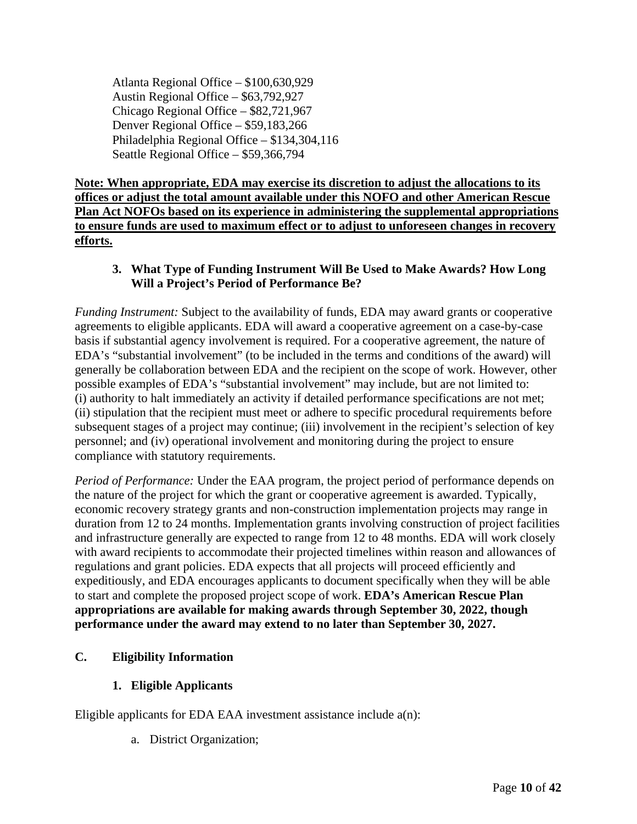Atlanta Regional Office – \$100,630,929 Austin Regional Office – \$63,792,927 Chicago Regional Office – \$82,721,967 Denver Regional Office – \$59,183,266 Philadelphia Regional Office – \$134,304,116 Seattle Regional Office – \$59,366,794

**Note: When appropriate, EDA may exercise its discretion to adjust the allocations to its offices or adjust the total amount available under this NOFO and other American Rescue Plan Act NOFOs based on its experience in administering the supplemental appropriations to ensure funds are used to maximum effect or to adjust to unforeseen changes in recovery efforts.**

#### <span id="page-9-0"></span>**3. What Type of Funding Instrument Will Be Used to Make Awards? How Long Will a Project's Period of Performance Be?**

*Funding Instrument:* Subject to the availability of funds, EDA may award grants or cooperative agreements to eligible applicants. EDA will award a cooperative agreement on a case-by-case basis if substantial agency involvement is required. For a cooperative agreement, the nature of EDA's "substantial involvement" (to be included in the terms and conditions of the award) will generally be collaboration between EDA and the recipient on the scope of work. However, other possible examples of EDA's "substantial involvement" may include, but are not limited to: (i) authority to halt immediately an activity if detailed performance specifications are not met; (ii) stipulation that the recipient must meet or adhere to specific procedural requirements before subsequent stages of a project may continue; (iii) involvement in the recipient's selection of key personnel; and (iv) operational involvement and monitoring during the project to ensure compliance with statutory requirements.

*Period of Performance:* Under the EAA program, the project period of performance depends on the nature of the project for which the grant or cooperative agreement is awarded. Typically, economic recovery strategy grants and non-construction implementation projects may range in duration from 12 to 24 months. Implementation grants involving construction of project facilities and infrastructure generally are expected to range from 12 to 48 months. EDA will work closely with award recipients to accommodate their projected timelines within reason and allowances of regulations and grant policies. EDA expects that all projects will proceed efficiently and expeditiously, and EDA encourages applicants to document specifically when they will be able to start and complete the proposed project scope of work. **EDA's American Rescue Plan appropriations are available for making awards through September 30, 2022, though performance under the award may extend to no later than September 30, 2027.**

### <span id="page-9-2"></span><span id="page-9-1"></span>**C. Eligibility Information**

#### **1. Eligible Applicants**

Eligible applicants for EDA EAA investment assistance include  $a(n)$ :

a. District Organization;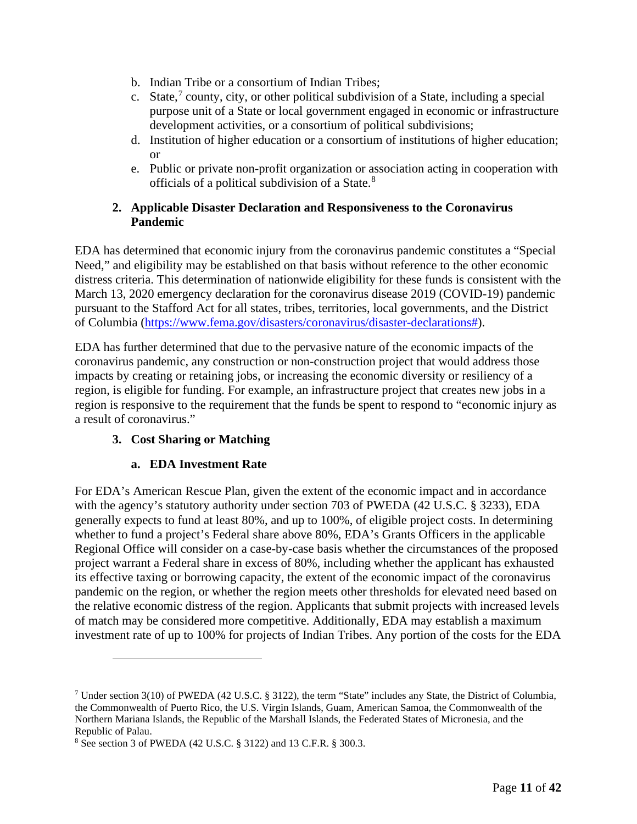- b. Indian Tribe or a consortium of Indian Tribes;
- c. State,<sup>[7](#page-10-2)</sup> county, city, or other political subdivision of a State, including a special purpose unit of a State or local government engaged in economic or infrastructure development activities, or a consortium of political subdivisions;
- d. Institution of higher education or a consortium of institutions of higher education; or
- e. Public or private non-profit organization or association acting in cooperation with officials of a political subdivision of a State.<sup>[8](#page-10-3)</sup>

### <span id="page-10-0"></span>**2. Applicable Disaster Declaration and Responsiveness to the Coronavirus Pandemic**

EDA has determined that economic injury from the coronavirus pandemic constitutes a "Special Need," and eligibility may be established on that basis without reference to the other economic distress criteria. This determination of nationwide eligibility for these funds is consistent with the March 13, 2020 emergency declaration for the coronavirus disease 2019 (COVID-19) pandemic pursuant to the Stafford Act for all states, tribes, territories, local governments, and the District of Columbia [\(https://www.fema.gov/disasters/coronavirus/disaster-declarations#\)](https://www.fema.gov/disasters/coronavirus/disaster-declarations).

EDA has further determined that due to the pervasive nature of the economic impacts of the coronavirus pandemic, any construction or non-construction project that would address those impacts by creating or retaining jobs, or increasing the economic diversity or resiliency of a region, is eligible for funding. For example, an infrastructure project that creates new jobs in a region is responsive to the requirement that the funds be spent to respond to "economic injury as a result of coronavirus."

### <span id="page-10-1"></span>**3. Cost Sharing or Matching**

#### **a. EDA Investment Rate**

For EDA's American Rescue Plan, given the extent of the economic impact and in accordance with the agency's statutory authority under section 703 of PWEDA (42 U.S.C. § 3233), EDA generally expects to fund at least 80%, and up to 100%, of eligible project costs. In determining whether to fund a project's Federal share above 80%, EDA's Grants Officers in the applicable Regional Office will consider on a case-by-case basis whether the circumstances of the proposed project warrant a Federal share in excess of 80%, including whether the applicant has exhausted its effective taxing or borrowing capacity, the extent of the economic impact of the coronavirus pandemic on the region, or whether the region meets other thresholds for elevated need based on the relative economic distress of the region. Applicants that submit projects with increased levels of match may be considered more competitive. Additionally, EDA may establish a maximum investment rate of up to 100% for projects of Indian Tribes. Any portion of the costs for the EDA

<span id="page-10-2"></span><sup>7</sup> Under section 3(10) of PWEDA (42 U.S.C. § 3122), the term "State" includes any State, the District of Columbia, the Commonwealth of Puerto Rico, the U.S. Virgin Islands, Guam, American Samoa, the Commonwealth of the Northern Mariana Islands, the Republic of the Marshall Islands, the Federated States of Micronesia, and the Republic of Palau.

<span id="page-10-3"></span><sup>8</sup> See section 3 of PWEDA (42 U.S.C. § 3122) and 13 C.F.R. § 300.3.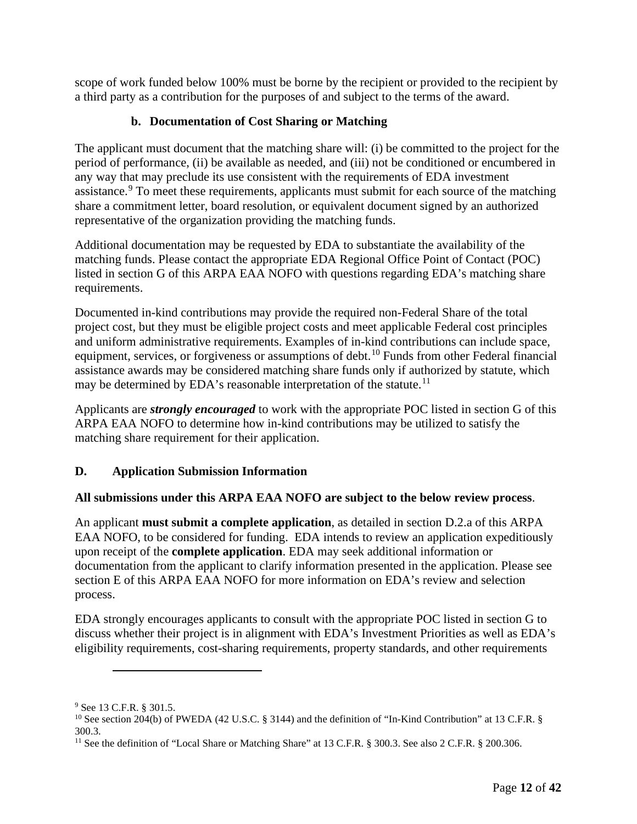scope of work funded below 100% must be borne by the recipient or provided to the recipient by a third party as a contribution for the purposes of and subject to the terms of the award.

### **b. Documentation of Cost Sharing or Matching**

The applicant must document that the matching share will: (i) be committed to the project for the period of performance, (ii) be available as needed, and (iii) not be conditioned or encumbered in any way that may preclude its use consistent with the requirements of EDA investment assistance.<sup>[9](#page-11-1)</sup> To meet these requirements, applicants must submit for each source of the matching share a commitment letter, board resolution, or equivalent document signed by an authorized representative of the organization providing the matching funds.

Additional documentation may be requested by EDA to substantiate the availability of the matching funds. Please contact the appropriate EDA Regional Office Point of Contact (POC) listed in section G of this ARPA EAA NOFO with questions regarding EDA's matching share requirements.

Documented in-kind contributions may provide the required non-Federal Share of the total project cost, but they must be eligible project costs and meet applicable Federal cost principles and uniform administrative requirements. Examples of in-kind contributions can include space, equipment, services, or forgiveness or assumptions of debt.<sup>[10](#page-11-2)</sup> Funds from other Federal financial assistance awards may be considered matching share funds only if authorized by statute, which may be determined by EDA's reasonable interpretation of the statute.<sup>[11](#page-11-3)</sup>

Applicants are *strongly encouraged* to work with the appropriate POC listed in section G of this ARPA EAA NOFO to determine how in-kind contributions may be utilized to satisfy the matching share requirement for their application.

#### <span id="page-11-0"></span>**D. Application Submission Information**

#### **All submissions under this ARPA EAA NOFO are subject to the below review process**.

An applicant **must submit a complete application**, as detailed in section D.2.a of this ARPA EAA NOFO, to be considered for funding. EDA intends to review an application expeditiously upon receipt of the **complete application**. EDA may seek additional information or documentation from the applicant to clarify information presented in the application. Please see section E of this ARPA EAA NOFO for more information on EDA's review and selection process.

EDA strongly encourages applicants to consult with the appropriate POC listed in section G to discuss whether their project is in alignment with EDA's Investment Priorities as well as EDA's eligibility requirements, cost-sharing requirements, property standards, and other requirements

<span id="page-11-1"></span><sup>9</sup> See 13 C.F.R. § 301.5.

<span id="page-11-2"></span><sup>&</sup>lt;sup>10</sup> See section 204(b) of PWEDA (42 U.S.C. § 3144) and the definition of "In-Kind Contribution" at 13 C.F.R. § 300.3.

<span id="page-11-3"></span><sup>&</sup>lt;sup>11</sup> See the definition of "Local Share or Matching Share" at 13 C.F.R. § 300.3. See also 2 C.F.R. § 200.306.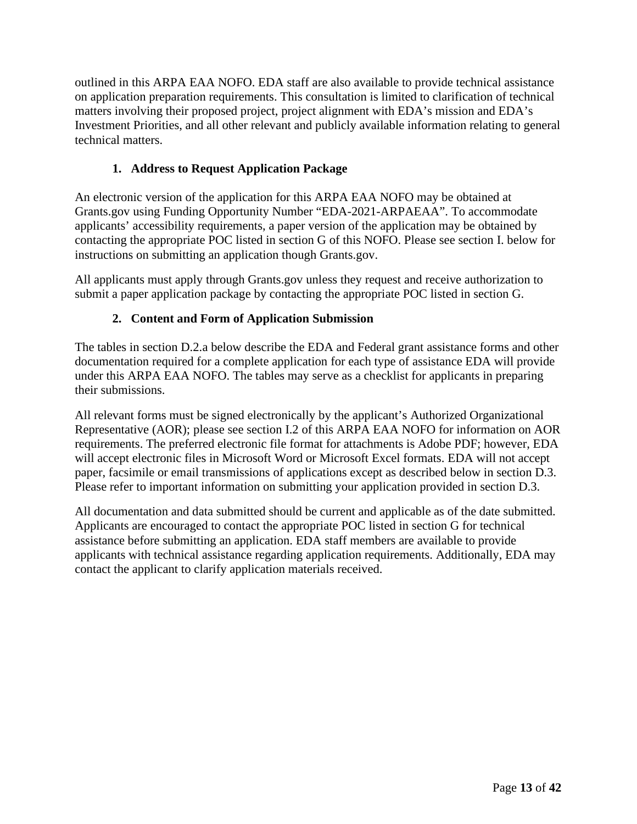outlined in this ARPA EAA NOFO. EDA staff are also available to provide technical assistance on application preparation requirements. This consultation is limited to clarification of technical matters involving their proposed project, project alignment with EDA's mission and EDA's Investment Priorities, and all other relevant and publicly available information relating to general technical matters.

### **1. Address to Request Application Package**

<span id="page-12-0"></span>An electronic version of the application for this ARPA EAA NOFO may be obtained at Grants.gov using Funding Opportunity Number "EDA-2021-ARPAEAA". To accommodate applicants' accessibility requirements, a paper version of the application may be obtained by contacting the appropriate POC listed in section G of this NOFO. Please see section I. below for instructions on submitting an application though Grants.gov.

All applicants must apply through Grants.gov unless they request and receive authorization to submit a paper application package by contacting the appropriate POC listed in section G.

### **2. Content and Form of Application Submission**

<span id="page-12-1"></span>The tables in section D.2.a below describe the EDA and Federal grant assistance forms and other documentation required for a complete application for each type of assistance EDA will provide under this ARPA EAA NOFO. The tables may serve as a checklist for applicants in preparing their submissions.

All relevant forms must be signed electronically by the applicant's Authorized Organizational Representative (AOR); please see section I.2 of this ARPA EAA NOFO for information on AOR requirements. The preferred electronic file format for attachments is Adobe PDF; however, EDA will accept electronic files in Microsoft Word or Microsoft Excel formats. EDA will not accept paper, facsimile or email transmissions of applications except as described below in section D.3. Please refer to important information on submitting your application provided in section D.3.

All documentation and data submitted should be current and applicable as of the date submitted. Applicants are encouraged to contact the appropriate POC listed in section G for technical assistance before submitting an application. EDA staff members are available to provide applicants with technical assistance regarding application requirements. Additionally, EDA may contact the applicant to clarify application materials received.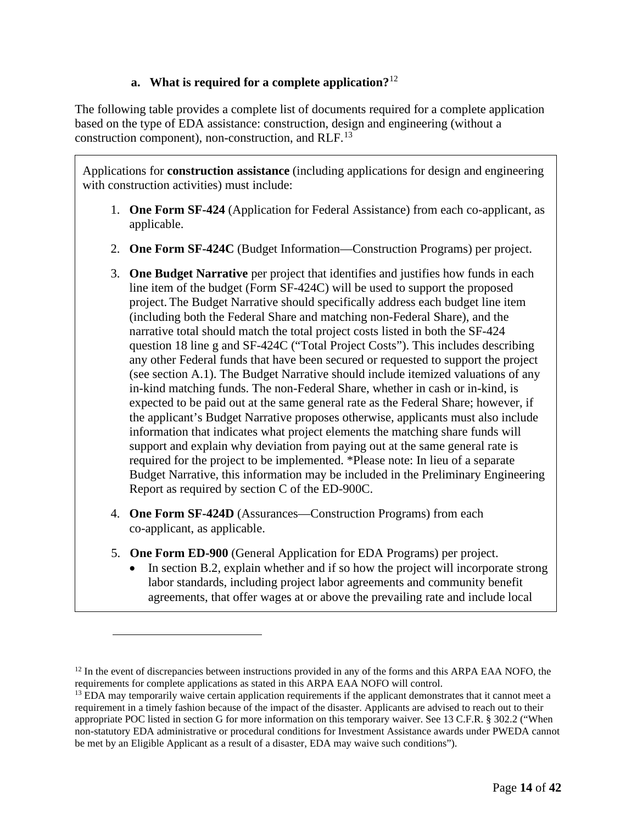#### **a. What is required for a complete application?**[12](#page-13-0)

The following table provides a complete list of documents required for a complete application based on the type of EDA assistance: construction, design and engineering (without a construction component), non-construction, and RLF.<sup>[13](#page-13-1)</sup>

Applications for **construction assistance** (including applications for design and engineering with construction activities) must include:

- 1. **One Form SF-424** (Application for Federal Assistance) from each co-applicant, as applicable.
- 2. **One Form SF-424C** (Budget Information—Construction Programs) per project.
- 3. **One Budget Narrative** per project that identifies and justifies how funds in each line item of the budget (Form SF-424C) will be used to support the proposed project. The Budget Narrative should specifically address each budget line item (including both the Federal Share and matching non-Federal Share), and the narrative total should match the total project costs listed in both the SF-424 question 18 line g and SF-424C ("Total Project Costs"). This includes describing any other Federal funds that have been secured or requested to support the project (see section A.1). The Budget Narrative should include itemized valuations of any in-kind matching funds. The non-Federal Share, whether in cash or in-kind, is expected to be paid out at the same general rate as the Federal Share; however, if the applicant's Budget Narrative proposes otherwise, applicants must also include information that indicates what project elements the matching share funds will support and explain why deviation from paying out at the same general rate is required for the project to be implemented. \*Please note: In lieu of a separate Budget Narrative, this information may be included in the Preliminary Engineering Report as required by section C of the ED-900C.
- 4. **One Form SF-424D** (Assurances—Construction Programs) from each co-applicant, as applicable.
- 5. **One Form ED-900** (General Application for EDA Programs) per project.
	- In section B.2, explain whether and if so how the project will incorporate strong labor standards, including project labor agreements and community benefit agreements, that offer wages at or above the prevailing rate and include local

<span id="page-13-0"></span> $12$  In the event of discrepancies between instructions provided in any of the forms and this ARPA EAA NOFO, the requirements for complete applications as stated in this ARPA EAA NOFO will control.

<span id="page-13-1"></span><sup>&</sup>lt;sup>13</sup> EDA may temporarily waive certain application requirements if the applicant demonstrates that it cannot meet a requirement in a timely fashion because of the impact of the disaster. Applicants are advised to reach out to their appropriate POC listed in section G for more information on this temporary waiver. See 13 C.F.R. § 302.2 ("When non-statutory EDA administrative or procedural conditions for Investment Assistance awards under PWEDA cannot be met by an Eligible Applicant as a result of a disaster, EDA may waive such conditions").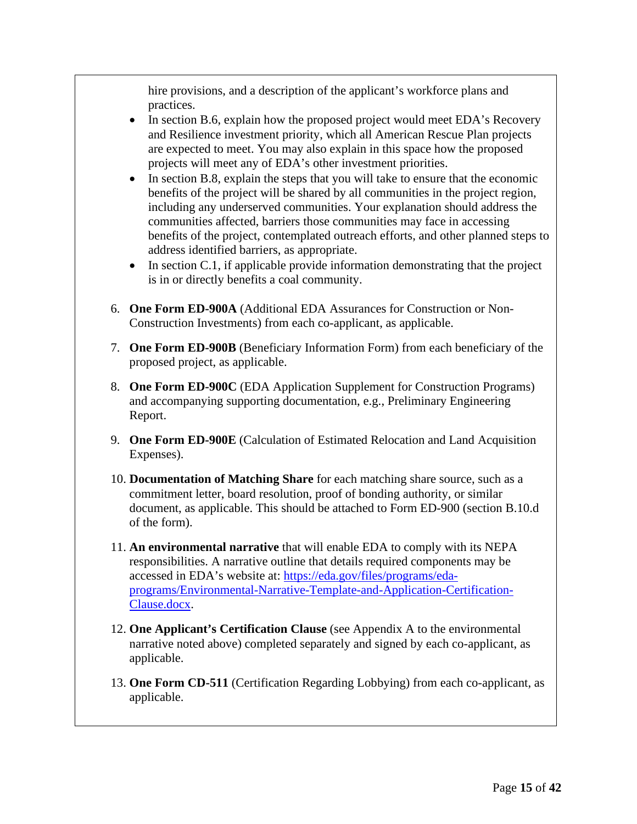hire provisions, and a description of the applicant's workforce plans and practices.

- In section B.6, explain how the proposed project would meet EDA's Recovery and Resilience investment priority, which all American Rescue Plan projects are expected to meet. You may also explain in this space how the proposed projects will meet any of EDA's other investment priorities.
- In section B.8, explain the steps that you will take to ensure that the economic benefits of the project will be shared by all communities in the project region, including any underserved communities. Your explanation should address the communities affected, barriers those communities may face in accessing benefits of the project, contemplated outreach efforts, and other planned steps to address identified barriers, as appropriate.
- In section C.1, if applicable provide information demonstrating that the project is in or directly benefits a coal community.
- 6. **One Form ED-900A** (Additional EDA Assurances for Construction or Non-Construction Investments) from each co-applicant, as applicable.
- 7. **One Form ED-900B** (Beneficiary Information Form) from each beneficiary of the proposed project, as applicable.
- 8. **One Form ED-900C** (EDA Application Supplement for Construction Programs) and accompanying supporting documentation, e.g., Preliminary Engineering Report.
- 9. **One Form ED-900E** (Calculation of Estimated Relocation and Land Acquisition Expenses).
- 10. **Documentation of Matching Share** for each matching share source, such as a commitment letter, board resolution, proof of bonding authority, or similar document, as applicable. This should be attached to Form ED-900 (section B.10.d of the form).
- 11. **An environmental narrative** that will enable EDA to comply with its NEPA responsibilities. A narrative outline that details required components may be accessed in EDA's website at: [https://eda.gov/files/programs/eda](https://eda.gov/files/programs/eda-programs/Environmental-Narrative-Template-and-Application-Certification-Clause.docx)[programs/Environmental-Narrative-Template-and-Application-Certification-](https://eda.gov/files/programs/eda-programs/Environmental-Narrative-Template-and-Application-Certification-Clause.docx)[Clause.docx.](https://eda.gov/files/programs/eda-programs/Environmental-Narrative-Template-and-Application-Certification-Clause.docx)
- 12. **One Applicant's Certification Clause** (see Appendix A to the environmental narrative noted above) completed separately and signed by each co-applicant, as applicable.
- 13. **One Form CD-511** (Certification Regarding Lobbying) from each co-applicant, as applicable.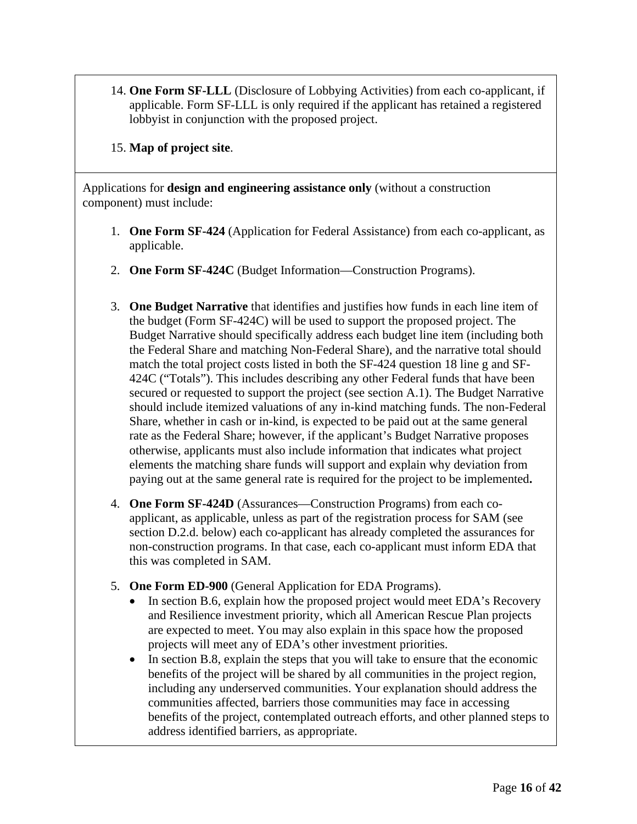14. **One Form SF-LLL** (Disclosure of Lobbying Activities) from each co-applicant, if applicable. Form SF-LLL is only required if the applicant has retained a registered lobbyist in conjunction with the proposed project.

### 15. **Map of project site**.

Applications for **design and engineering assistance only** (without a construction component) must include:

- 1. **One Form SF-424** (Application for Federal Assistance) from each co-applicant, as applicable.
- 2. **One Form SF-424C** (Budget Information—Construction Programs).
- 3. **One Budget Narrative** that identifies and justifies how funds in each line item of the budget (Form SF-424C) will be used to support the proposed project. The Budget Narrative should specifically address each budget line item (including both the Federal Share and matching Non-Federal Share), and the narrative total should match the total project costs listed in both the SF-424 question 18 line g and SF-424C ("Totals"). This includes describing any other Federal funds that have been secured or requested to support the project (see section A.1). The Budget Narrative should include itemized valuations of any in-kind matching funds. The non-Federal Share, whether in cash or in-kind, is expected to be paid out at the same general rate as the Federal Share; however, if the applicant's Budget Narrative proposes otherwise, applicants must also include information that indicates what project elements the matching share funds will support and explain why deviation from paying out at the same general rate is required for the project to be implemented**.**
- 4. **One Form SF-424D** (Assurances—Construction Programs) from each coapplicant, as applicable, unless as part of the registration process for SAM (see section D.2.d. below) each co-applicant has already completed the assurances for non-construction programs. In that case, each co-applicant must inform EDA that this was completed in SAM.
- 5. **One Form ED-900** (General Application for EDA Programs).
	- In section B.6, explain how the proposed project would meet EDA's Recovery and Resilience investment priority, which all American Rescue Plan projects are expected to meet. You may also explain in this space how the proposed projects will meet any of EDA's other investment priorities.
	- In section B.8, explain the steps that you will take to ensure that the economic benefits of the project will be shared by all communities in the project region, including any underserved communities. Your explanation should address the communities affected, barriers those communities may face in accessing benefits of the project, contemplated outreach efforts, and other planned steps to address identified barriers, as appropriate.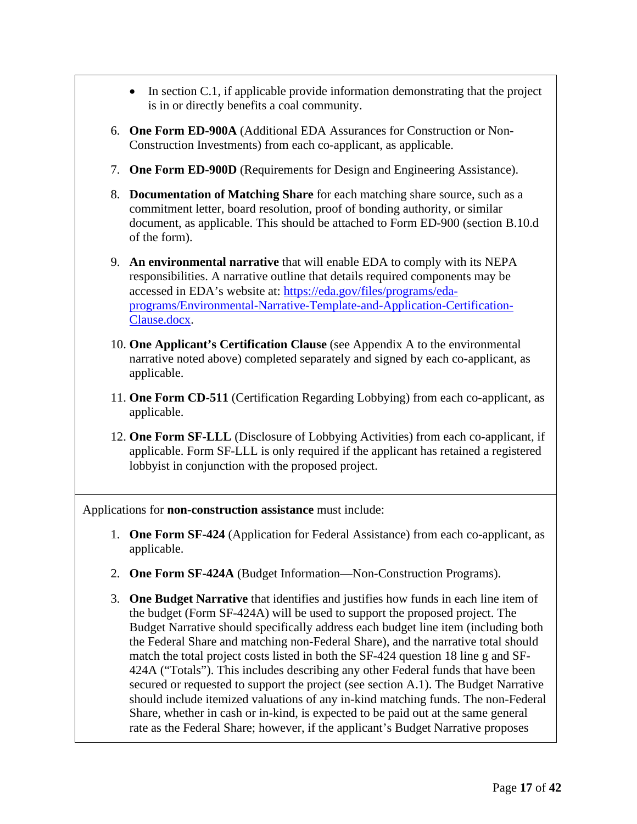- In section C.1, if applicable provide information demonstrating that the project is in or directly benefits a coal community.
- 6. **One Form ED-900A** (Additional EDA Assurances for Construction or Non-Construction Investments) from each co-applicant, as applicable.
- 7. **One Form ED-900D** (Requirements for Design and Engineering Assistance).
- 8. **Documentation of Matching Share** for each matching share source, such as a commitment letter, board resolution, proof of bonding authority, or similar document, as applicable. This should be attached to Form ED-900 (section B.10.d of the form).
- 9. **An environmental narrative** that will enable EDA to comply with its NEPA responsibilities. A narrative outline that details required components may be accessed in EDA's website at: [https://eda.gov/files/programs/eda](https://eda.gov/files/programs/eda-programs/Environmental-Narrative-Template-and-Application-Certification-Clause.docx)[programs/Environmental-Narrative-Template-and-Application-Certification-](https://eda.gov/files/programs/eda-programs/Environmental-Narrative-Template-and-Application-Certification-Clause.docx)[Clause.docx.](https://eda.gov/files/programs/eda-programs/Environmental-Narrative-Template-and-Application-Certification-Clause.docx)
- 10. **One Applicant's Certification Clause** (see Appendix A to the environmental narrative noted above) completed separately and signed by each co-applicant, as applicable.
- 11. **One Form CD-511** (Certification Regarding Lobbying) from each co-applicant, as applicable.
- 12. **One Form SF-LLL** (Disclosure of Lobbying Activities) from each co-applicant, if applicable. Form SF-LLL is only required if the applicant has retained a registered lobbyist in conjunction with the proposed project.

Applications for **non-construction assistance** must include:

- 1. **One Form SF-424** (Application for Federal Assistance) from each co-applicant, as applicable.
- 2. **One Form SF-424A** (Budget Information—Non-Construction Programs).
- 3. **One Budget Narrative** that identifies and justifies how funds in each line item of the budget (Form SF-424A) will be used to support the proposed project. The Budget Narrative should specifically address each budget line item (including both the Federal Share and matching non-Federal Share), and the narrative total should match the total project costs listed in both the SF-424 question 18 line g and SF-424A ("Totals"). This includes describing any other Federal funds that have been secured or requested to support the project (see section A.1). The Budget Narrative should include itemized valuations of any in-kind matching funds. The non-Federal Share, whether in cash or in-kind, is expected to be paid out at the same general rate as the Federal Share; however, if the applicant's Budget Narrative proposes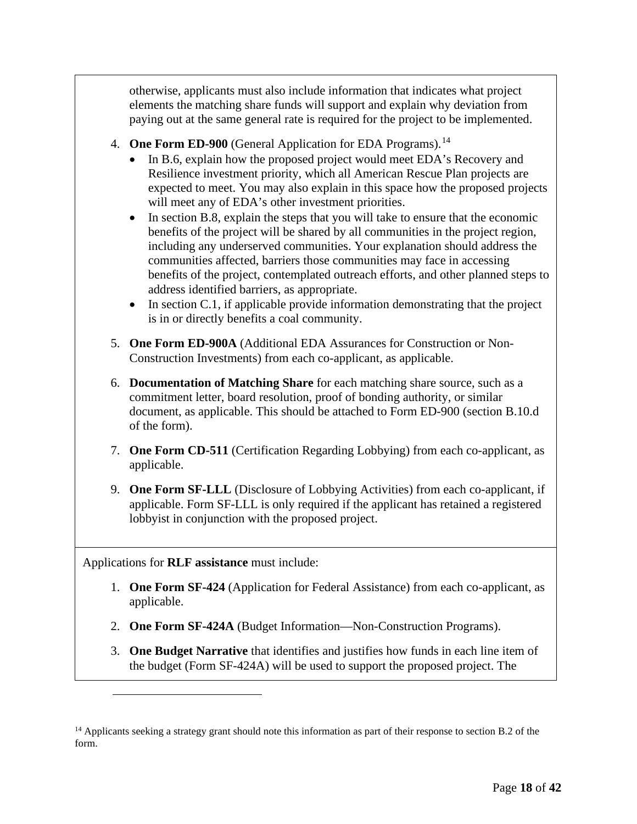otherwise, applicants must also include information that indicates what project elements the matching share funds will support and explain why deviation from paying out at the same general rate is required for the project to be implemented.

- 4. **One Form ED-900** (General Application for EDA Programs).<sup>[14](#page-17-0)</sup>
	- In B.6, explain how the proposed project would meet EDA's Recovery and Resilience investment priority, which all American Rescue Plan projects are expected to meet. You may also explain in this space how the proposed projects will meet any of EDA's other investment priorities.
	- In section B.8, explain the steps that you will take to ensure that the economic benefits of the project will be shared by all communities in the project region, including any underserved communities. Your explanation should address the communities affected, barriers those communities may face in accessing benefits of the project, contemplated outreach efforts, and other planned steps to address identified barriers, as appropriate.
	- In section C.1, if applicable provide information demonstrating that the project is in or directly benefits a coal community.
- 5. **One Form ED-900A** (Additional EDA Assurances for Construction or Non-Construction Investments) from each co-applicant, as applicable.
- 6. **Documentation of Matching Share** for each matching share source, such as a commitment letter, board resolution, proof of bonding authority, or similar document, as applicable. This should be attached to Form ED-900 (section B.10.d of the form).
- 7. **One Form CD-511** (Certification Regarding Lobbying) from each co-applicant, as applicable.
- 9. **One Form SF-LLL** (Disclosure of Lobbying Activities) from each co-applicant, if applicable. Form SF-LLL is only required if the applicant has retained a registered lobbyist in conjunction with the proposed project.

Applications for **RLF assistance** must include:

- 1. **One Form SF-424** (Application for Federal Assistance) from each co-applicant, as applicable.
- 2. **One Form SF-424A** (Budget Information—Non-Construction Programs).
- 3. **One Budget Narrative** that identifies and justifies how funds in each line item of the budget (Form SF-424A) will be used to support the proposed project. The

<span id="page-17-0"></span><sup>&</sup>lt;sup>14</sup> Applicants seeking a strategy grant should note this information as part of their response to section B.2 of the form.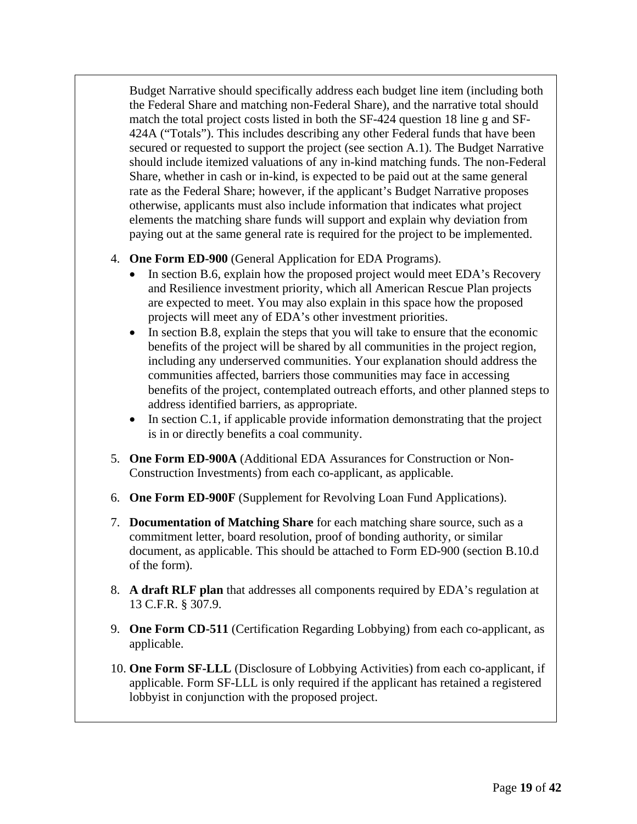Budget Narrative should specifically address each budget line item (including both the Federal Share and matching non-Federal Share), and the narrative total should match the total project costs listed in both the SF-424 question 18 line g and SF-424A ("Totals"). This includes describing any other Federal funds that have been secured or requested to support the project (see section A.1). The Budget Narrative should include itemized valuations of any in-kind matching funds. The non-Federal Share, whether in cash or in-kind, is expected to be paid out at the same general rate as the Federal Share; however, if the applicant's Budget Narrative proposes otherwise, applicants must also include information that indicates what project elements the matching share funds will support and explain why deviation from paying out at the same general rate is required for the project to be implemented.

- 4. **One Form ED-900** (General Application for EDA Programs).
	- In section B.6, explain how the proposed project would meet EDA's Recovery and Resilience investment priority, which all American Rescue Plan projects are expected to meet. You may also explain in this space how the proposed projects will meet any of EDA's other investment priorities.
	- In section B.8, explain the steps that you will take to ensure that the economic benefits of the project will be shared by all communities in the project region, including any underserved communities. Your explanation should address the communities affected, barriers those communities may face in accessing benefits of the project, contemplated outreach efforts, and other planned steps to address identified barriers, as appropriate.
	- In section C.1, if applicable provide information demonstrating that the project is in or directly benefits a coal community.
- 5. **One Form ED-900A** (Additional EDA Assurances for Construction or Non-Construction Investments) from each co-applicant, as applicable.
- 6. **One Form ED-900F** (Supplement for Revolving Loan Fund Applications).
- 7. **Documentation of Matching Share** for each matching share source, such as a commitment letter, board resolution, proof of bonding authority, or similar document, as applicable. This should be attached to Form ED-900 (section B.10.d of the form).
- 8. **A draft RLF plan** that addresses all components required by EDA's regulation at 13 C.F.R. § 307.9.
- 9. **One Form CD-511** (Certification Regarding Lobbying) from each co-applicant, as applicable.
- 10. **One Form SF-LLL** (Disclosure of Lobbying Activities) from each co-applicant, if applicable. Form SF-LLL is only required if the applicant has retained a registered lobbyist in conjunction with the proposed project.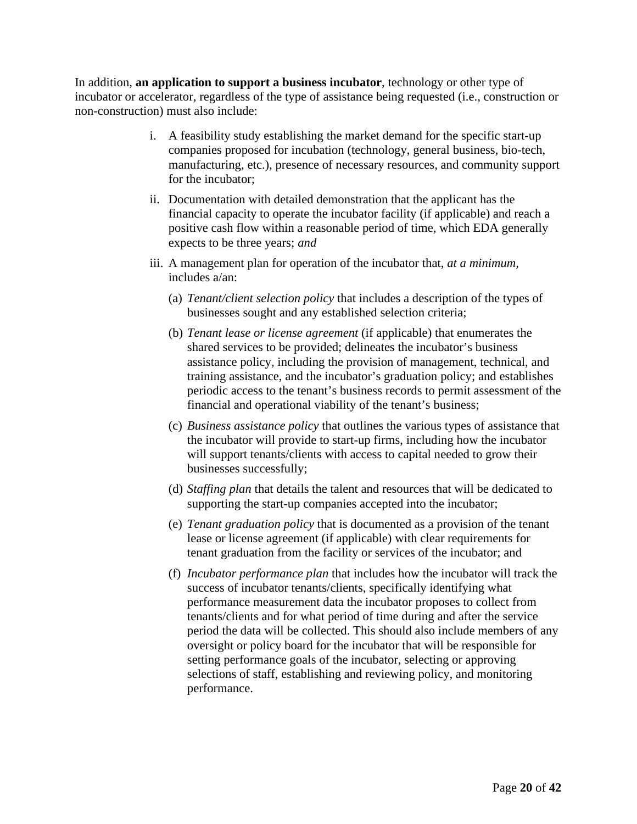In addition, **an application to support a business incubator**, technology or other type of incubator or accelerator, regardless of the type of assistance being requested (i.e., construction or non-construction) must also include:

- i. A feasibility study establishing the market demand for the specific start-up companies proposed for incubation (technology, general business, bio-tech, manufacturing, etc.), presence of necessary resources, and community support for the incubator;
- ii. Documentation with detailed demonstration that the applicant has the financial capacity to operate the incubator facility (if applicable) and reach a positive cash flow within a reasonable period of time, which EDA generally expects to be three years; *and*
- iii. A management plan for operation of the incubator that, *at a minimum,* includes a/an:
	- (a) *Tenant/client selection policy* that includes a description of the types of businesses sought and any established selection criteria;
	- (b) *Tenant lease or license agreement* (if applicable) that enumerates the shared services to be provided; delineates the incubator's business assistance policy, including the provision of management, technical, and training assistance, and the incubator's graduation policy; and establishes periodic access to the tenant's business records to permit assessment of the financial and operational viability of the tenant's business;
	- (c) *Business assistance policy* that outlines the various types of assistance that the incubator will provide to start-up firms, including how the incubator will support tenants/clients with access to capital needed to grow their businesses successfully;
	- (d) *Staffing plan* that details the talent and resources that will be dedicated to supporting the start-up companies accepted into the incubator;
	- (e) *Tenant graduation policy* that is documented as a provision of the tenant lease or license agreement (if applicable) with clear requirements for tenant graduation from the facility or services of the incubator; and
	- (f) *Incubator performance plan* that includes how the incubator will track the success of incubator tenants/clients, specifically identifying what performance measurement data the incubator proposes to collect from tenants/clients and for what period of time during and after the service period the data will be collected. This should also include members of any oversight or policy board for the incubator that will be responsible for setting performance goals of the incubator, selecting or approving selections of staff, establishing and reviewing policy, and monitoring performance.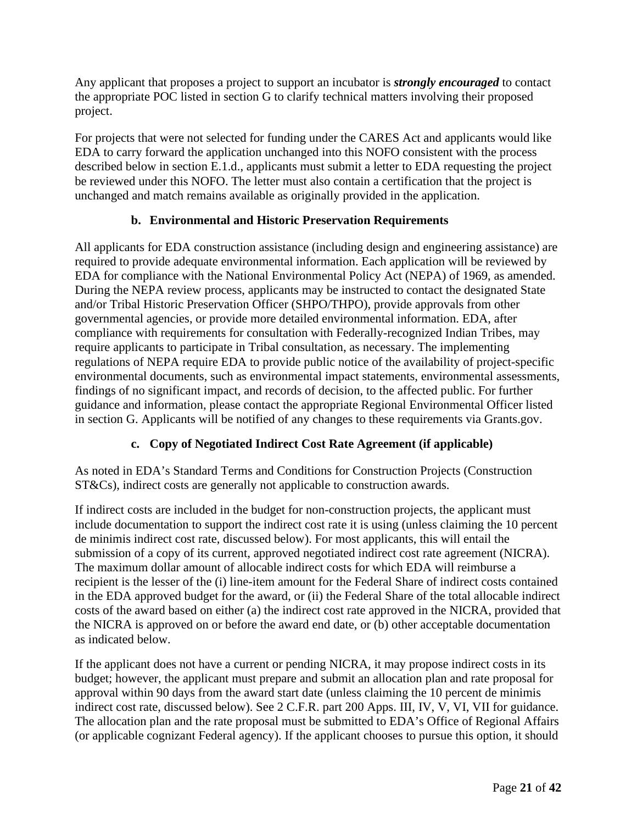Any applicant that proposes a project to support an incubator is *strongly encouraged* to contact the appropriate POC listed in section G to clarify technical matters involving their proposed project.

For projects that were not selected for funding under the CARES Act and applicants would like EDA to carry forward the application unchanged into this NOFO consistent with the process described below in section E.1.d., applicants must submit a letter to EDA requesting the project be reviewed under this NOFO. The letter must also contain a certification that the project is unchanged and match remains available as originally provided in the application.

#### **b. Environmental and Historic Preservation Requirements**

All applicants for EDA construction assistance (including design and engineering assistance) are required to provide adequate environmental information. Each application will be reviewed by EDA for compliance with the National Environmental Policy Act (NEPA) of 1969, as amended. During the NEPA review process, applicants may be instructed to contact the designated State and/or Tribal Historic Preservation Officer (SHPO/THPO), provide approvals from other governmental agencies, or provide more detailed environmental information. EDA, after compliance with requirements for consultation with Federally-recognized Indian Tribes, may require applicants to participate in Tribal consultation, as necessary. The implementing regulations of NEPA require EDA to provide public notice of the availability of project-specific environmental documents, such as environmental impact statements, environmental assessments, findings of no significant impact, and records of decision, to the affected public. For further guidance and information, please contact the appropriate Regional Environmental Officer listed in section G. Applicants will be notified of any changes to these requirements via Grants.gov.

#### **c. Copy of Negotiated Indirect Cost Rate Agreement (if applicable)**

As noted in EDA's Standard Terms and Conditions for Construction Projects (Construction ST&Cs), indirect costs are generally not applicable to construction awards.

If indirect costs are included in the budget for non-construction projects, the applicant must include documentation to support the indirect cost rate it is using (unless claiming the 10 percent de minimis indirect cost rate, discussed below). For most applicants, this will entail the submission of a copy of its current, approved negotiated indirect cost rate agreement (NICRA). The maximum dollar amount of allocable indirect costs for which EDA will reimburse a recipient is the lesser of the (i) line-item amount for the Federal Share of indirect costs contained in the EDA approved budget for the award, or (ii) the Federal Share of the total allocable indirect costs of the award based on either (a) the indirect cost rate approved in the NICRA, provided that the NICRA is approved on or before the award end date, or (b) other acceptable documentation as indicated below.

If the applicant does not have a current or pending NICRA, it may propose indirect costs in its budget; however, the applicant must prepare and submit an allocation plan and rate proposal for approval within 90 days from the award start date (unless claiming the 10 percent de minimis indirect cost rate, discussed below). See 2 C.F.R. part 200 Apps. III, IV, V, VI, VII for guidance. The allocation plan and the rate proposal must be submitted to EDA's Office of Regional Affairs (or applicable cognizant Federal agency). If the applicant chooses to pursue this option, it should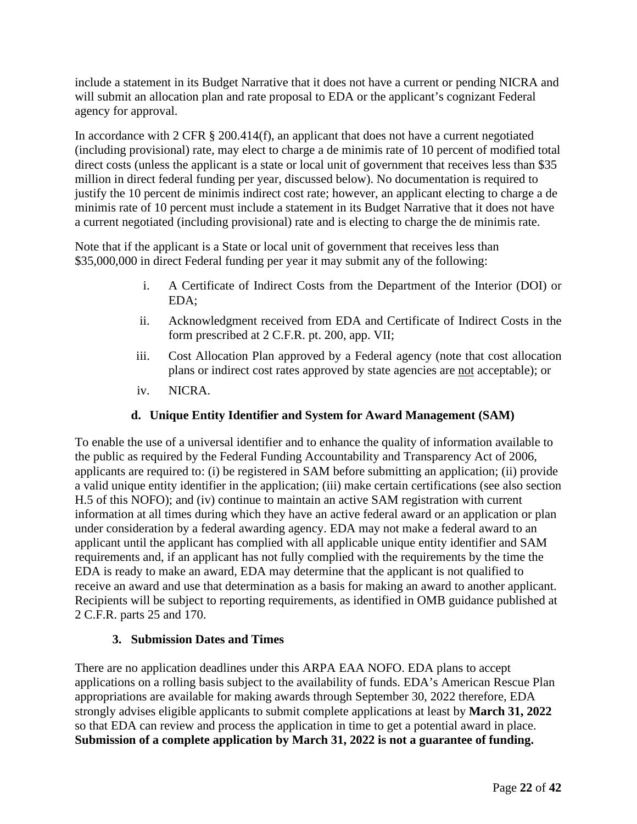include a statement in its Budget Narrative that it does not have a current or pending NICRA and will submit an allocation plan and rate proposal to EDA or the applicant's cognizant Federal agency for approval.

In accordance with 2 CFR § 200.414(f), an applicant that does not have a current negotiated (including provisional) rate, may elect to charge a de minimis rate of 10 percent of modified total direct costs (unless the applicant is a state or local unit of government that receives less than \$35 million in direct federal funding per year, discussed below). No documentation is required to justify the 10 percent de minimis indirect cost rate; however, an applicant electing to charge a de minimis rate of 10 percent must include a statement in its Budget Narrative that it does not have a current negotiated (including provisional) rate and is electing to charge the de minimis rate.

Note that if the applicant is a State or local unit of government that receives less than \$35,000,000 in direct Federal funding per year it may submit any of the following:

- i. A Certificate of Indirect Costs from the Department of the Interior (DOI) or EDA;
- ii. Acknowledgment received from EDA and Certificate of Indirect Costs in the form prescribed at 2 C.F.R. pt. 200, app. VII;
- iii. Cost Allocation Plan approved by a Federal agency (note that cost allocation plans or indirect cost rates approved by state agencies are not acceptable); or
- iv. NICRA.

### **d. Unique Entity Identifier and System for Award Management (SAM)**

To enable the use of a universal identifier and to enhance the quality of information available to the public as required by the Federal Funding Accountability and Transparency Act of 2006, applicants are required to: (i) be registered in SAM before submitting an application; (ii) provide a valid unique entity identifier in the application; (iii) make certain certifications (see also section H.5 of this NOFO); and (iv) continue to maintain an active SAM registration with current information at all times during which they have an active federal award or an application or plan under consideration by a federal awarding agency. EDA may not make a federal award to an applicant until the applicant has complied with all applicable unique entity identifier and SAM requirements and, if an applicant has not fully complied with the requirements by the time the EDA is ready to make an award, EDA may determine that the applicant is not qualified to receive an award and use that determination as a basis for making an award to another applicant. Recipients will be subject to reporting requirements, as identified in OMB guidance published at 2 C.F.R. parts 25 and 170.

#### **3. Submission Dates and Times**

<span id="page-21-0"></span>There are no application deadlines under this ARPA EAA NOFO. EDA plans to accept applications on a rolling basis subject to the availability of funds. EDA's American Rescue Plan appropriations are available for making awards through September 30, 2022 therefore, EDA strongly advises eligible applicants to submit complete applications at least by **March 31, 2022** so that EDA can review and process the application in time to get a potential award in place. **Submission of a complete application by March 31, 2022 is not a guarantee of funding.**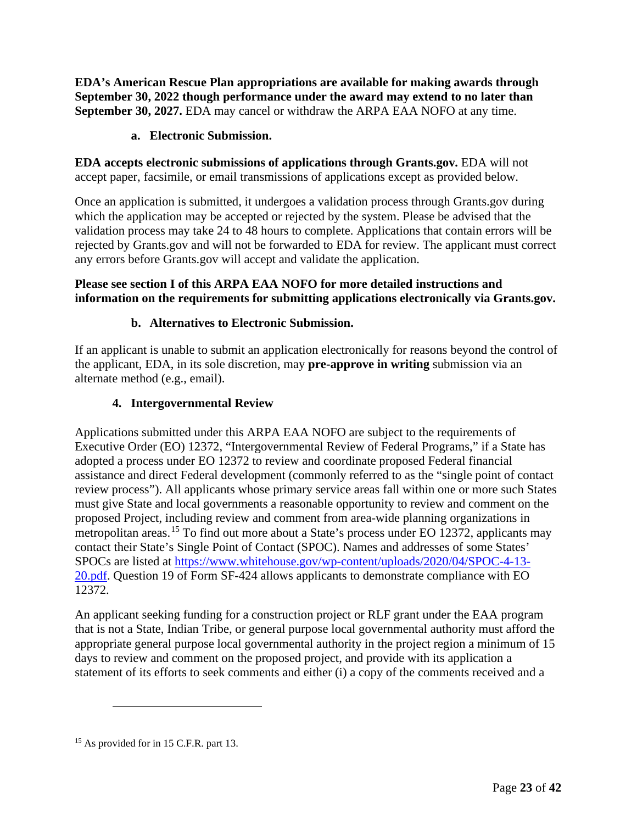**EDA's American Rescue Plan appropriations are available for making awards through September 30, 2022 though performance under the award may extend to no later than September 30, 2027.** EDA may cancel or withdraw the ARPA EAA NOFO at any time.

### **a. Electronic Submission.**

**EDA accepts electronic submissions of applications through Grants.gov.** EDA will not accept paper, facsimile, or email transmissions of applications except as provided below.

Once an application is submitted, it undergoes a validation process through Grants.gov during which the application may be accepted or rejected by the system. Please be advised that the validation process may take 24 to 48 hours to complete. Applications that contain errors will be rejected by Grants.gov and will not be forwarded to EDA for review. The applicant must correct any errors before Grants.gov will accept and validate the application.

### **Please see section I of this ARPA EAA NOFO for more detailed instructions and information on the requirements for submitting applications electronically via Grants.gov.**

### **b. Alternatives to Electronic Submission.**

If an applicant is unable to submit an application electronically for reasons beyond the control of the applicant, EDA, in its sole discretion, may **pre-approve in writing** submission via an alternate method (e.g., email).

### **4. Intergovernmental Review**

<span id="page-22-0"></span>Applications submitted under this ARPA EAA NOFO are subject to the requirements of Executive Order (EO) 12372, "Intergovernmental Review of Federal Programs," if a State has adopted a process under EO 12372 to review and coordinate proposed Federal financial assistance and direct Federal development (commonly referred to as the "single point of contact review process"). All applicants whose primary service areas fall within one or more such States must give State and local governments a reasonable opportunity to review and comment on the proposed Project, including review and comment from area-wide planning organizations in metropolitan areas.<sup>[15](#page-22-1)</sup> To find out more about a State's process under EO 12372, applicants may contact their State's Single Point of Contact (SPOC). Names and addresses of some States' SPOCs are listed at [https://www.whitehouse.gov/wp-content/uploads/2020/04/SPOC-4-13-](https://www.whitehouse.gov/wp-content/uploads/2020/04/SPOC-4-13-20.pdf) [20.pdf.](https://www.whitehouse.gov/wp-content/uploads/2020/04/SPOC-4-13-20.pdf) Question 19 of Form SF-424 allows applicants to demonstrate compliance with EO 12372.

An applicant seeking funding for a construction project or RLF grant under the EAA program that is not a State, Indian Tribe, or general purpose local governmental authority must afford the appropriate general purpose local governmental authority in the project region a minimum of 15 days to review and comment on the proposed project, and provide with its application a statement of its efforts to seek comments and either (i) a copy of the comments received and a

<span id="page-22-1"></span><sup>&</sup>lt;sup>15</sup> As provided for in 15 C.F.R. part 13.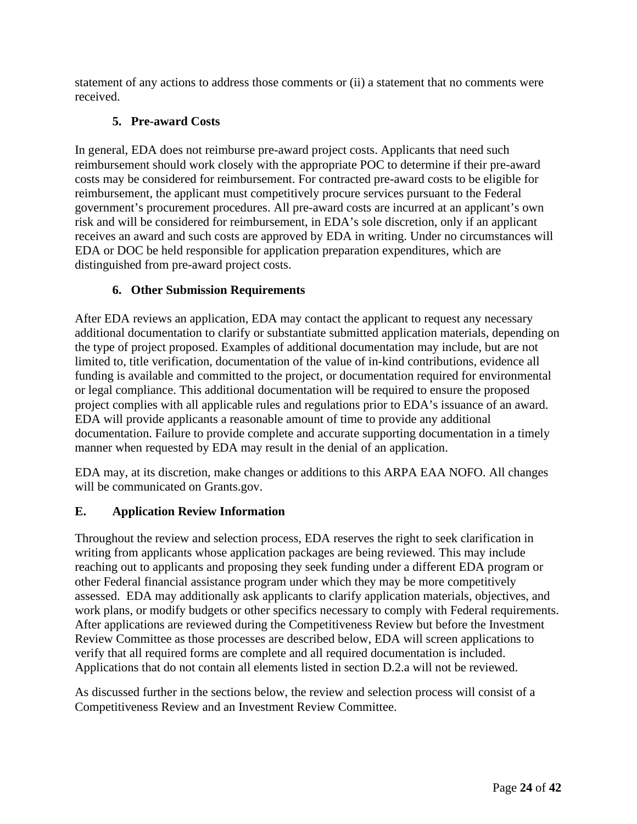statement of any actions to address those comments or (ii) a statement that no comments were received.

### **5. Pre-award Costs**

<span id="page-23-0"></span>In general, EDA does not reimburse pre-award project costs. Applicants that need such reimbursement should work closely with the appropriate POC to determine if their pre-award costs may be considered for reimbursement. For contracted pre-award costs to be eligible for reimbursement, the applicant must competitively procure services pursuant to the Federal government's procurement procedures. All pre-award costs are incurred at an applicant's own risk and will be considered for reimbursement, in EDA's sole discretion, only if an applicant receives an award and such costs are approved by EDA in writing. Under no circumstances will EDA or DOC be held responsible for application preparation expenditures, which are distinguished from pre-award project costs.

### **6. Other Submission Requirements**

<span id="page-23-1"></span>After EDA reviews an application, EDA may contact the applicant to request any necessary additional documentation to clarify or substantiate submitted application materials, depending on the type of project proposed. Examples of additional documentation may include, but are not limited to, title verification, documentation of the value of in-kind contributions, evidence all funding is available and committed to the project, or documentation required for environmental or legal compliance. This additional documentation will be required to ensure the proposed project complies with all applicable rules and regulations prior to EDA's issuance of an award. EDA will provide applicants a reasonable amount of time to provide any additional documentation. Failure to provide complete and accurate supporting documentation in a timely manner when requested by EDA may result in the denial of an application.

EDA may, at its discretion, make changes or additions to this ARPA EAA NOFO. All changes will be communicated on Grants.gov.

### <span id="page-23-2"></span>**E. Application Review Information**

Throughout the review and selection process, EDA reserves the right to seek clarification in writing from applicants whose application packages are being reviewed. This may include reaching out to applicants and proposing they seek funding under a different EDA program or other Federal financial assistance program under which they may be more competitively assessed. EDA may additionally ask applicants to clarify application materials, objectives, and work plans, or modify budgets or other specifics necessary to comply with Federal requirements. After applications are reviewed during the Competitiveness Review but before the Investment Review Committee as those processes are described below, EDA will screen applications to verify that all required forms are complete and all required documentation is included. Applications that do not contain all elements listed in section D.2.a will not be reviewed.

As discussed further in the sections below, the review and selection process will consist of a Competitiveness Review and an Investment Review Committee.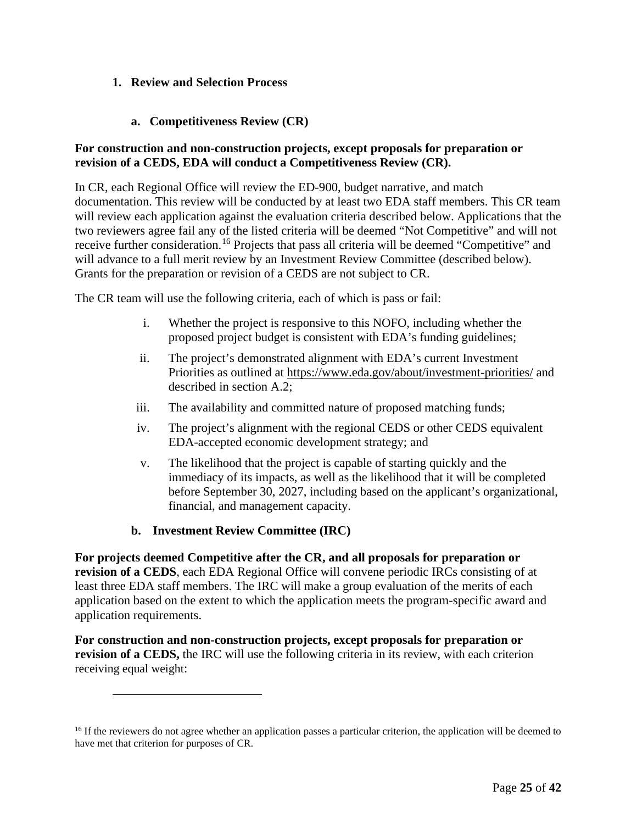#### <span id="page-24-0"></span>**1. Review and Selection Process**

#### **a. Competitiveness Review (CR)**

#### **For construction and non-construction projects, except proposals for preparation or revision of a CEDS, EDA will conduct a Competitiveness Review (CR).**

In CR, each Regional Office will review the ED-900, budget narrative, and match documentation. This review will be conducted by at least two EDA staff members. This CR team will review each application against the evaluation criteria described below. Applications that the two reviewers agree fail any of the listed criteria will be deemed "Not Competitive" and will not receive further consideration.<sup>[16](#page-24-1)</sup> Projects that pass all criteria will be deemed "Competitive" and will advance to a full merit review by an Investment Review Committee (described below). Grants for the preparation or revision of a CEDS are not subject to CR.

The CR team will use the following criteria, each of which is pass or fail:

- i. Whether the project is responsive to this NOFO, including whether the proposed project budget is consistent with EDA's funding guidelines;
- ii. The project's demonstrated alignment with EDA's current Investment Priorities as outlined at<https://www.eda.gov/about/investment-priorities/> and described in section A.2;
- iii. The availability and committed nature of proposed matching funds;
- iv. The project's alignment with the regional CEDS or other CEDS equivalent EDA-accepted economic development strategy; and
- v. The likelihood that the project is capable of starting quickly and the immediacy of its impacts, as well as the likelihood that it will be completed before September 30, 2027, including based on the applicant's organizational, financial, and management capacity.

#### **b. Investment Review Committee (IRC)**

**For projects deemed Competitive after the CR, and all proposals for preparation or revision of a CEDS**, each EDA Regional Office will convene periodic IRCs consisting of at least three EDA staff members. The IRC will make a group evaluation of the merits of each application based on the extent to which the application meets the program-specific award and application requirements.

**For construction and non-construction projects, except proposals for preparation or revision of a CEDS,** the IRC will use the following criteria in its review, with each criterion receiving equal weight:

<span id="page-24-1"></span><sup>&</sup>lt;sup>16</sup> If the reviewers do not agree whether an application passes a particular criterion, the application will be deemed to have met that criterion for purposes of CR.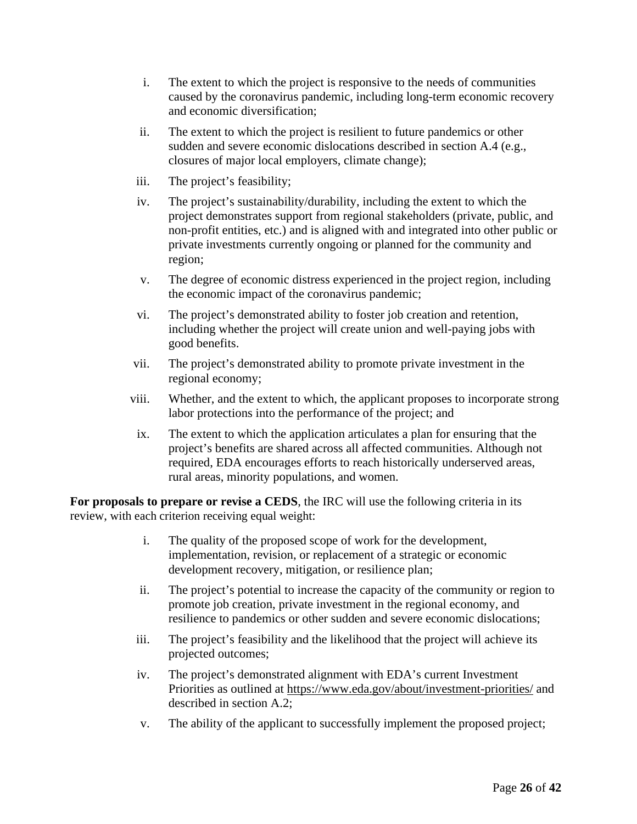- i. The extent to which the project is responsive to the needs of communities caused by the coronavirus pandemic, including long-term economic recovery and economic diversification;
- ii. The extent to which the project is resilient to future pandemics or other sudden and severe economic dislocations described in section A.4 (e.g., closures of major local employers, climate change);
- iii. The project's feasibility;
- iv. The project's sustainability/durability, including the extent to which the project demonstrates support from regional stakeholders (private, public, and non-profit entities, etc.) and is aligned with and integrated into other public or private investments currently ongoing or planned for the community and region;
- v. The degree of economic distress experienced in the project region, including the economic impact of the coronavirus pandemic;
- vi. The project's demonstrated ability to foster job creation and retention, including whether the project will create union and well-paying jobs with good benefits.
- vii. The project's demonstrated ability to promote private investment in the regional economy;
- viii. Whether, and the extent to which, the applicant proposes to incorporate strong labor protections into the performance of the project; and
- ix. The extent to which the application articulates a plan for ensuring that the project's benefits are shared across all affected communities. Although not required, EDA encourages efforts to reach historically underserved areas, rural areas, minority populations, and women.

**For proposals to prepare or revise a CEDS**, the IRC will use the following criteria in its review, with each criterion receiving equal weight:

- i. The quality of the proposed scope of work for the development, implementation, revision, or replacement of a strategic or economic development recovery, mitigation, or resilience plan;
- ii. The project's potential to increase the capacity of the community or region to promote job creation, private investment in the regional economy, and resilience to pandemics or other sudden and severe economic dislocations;
- iii. The project's feasibility and the likelihood that the project will achieve its projected outcomes;
- iv. The project's demonstrated alignment with EDA's current Investment Priorities as outlined at<https://www.eda.gov/about/investment-priorities/> and described in section A.2;
- v. The ability of the applicant to successfully implement the proposed project;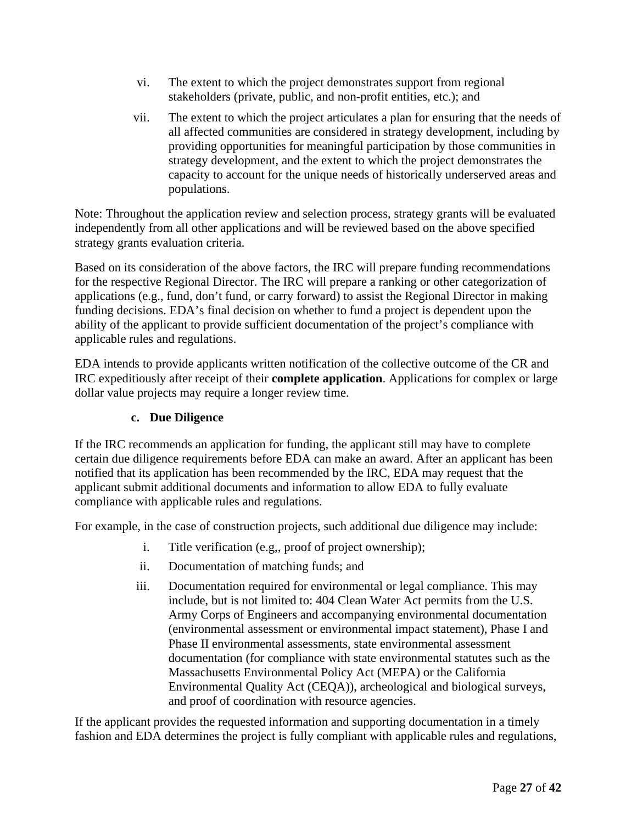- vi. The extent to which the project demonstrates support from regional stakeholders (private, public, and non-profit entities, etc.); and
- vii. The extent to which the project articulates a plan for ensuring that the needs of all affected communities are considered in strategy development, including by providing opportunities for meaningful participation by those communities in strategy development, and the extent to which the project demonstrates the capacity to account for the unique needs of historically underserved areas and populations.

Note: Throughout the application review and selection process, strategy grants will be evaluated independently from all other applications and will be reviewed based on the above specified strategy grants evaluation criteria.

Based on its consideration of the above factors, the IRC will prepare funding recommendations for the respective Regional Director. The IRC will prepare a ranking or other categorization of applications (e.g., fund, don't fund, or carry forward) to assist the Regional Director in making funding decisions. EDA's final decision on whether to fund a project is dependent upon the ability of the applicant to provide sufficient documentation of the project's compliance with applicable rules and regulations.

EDA intends to provide applicants written notification of the collective outcome of the CR and IRC expeditiously after receipt of their **complete application**. Applications for complex or large dollar value projects may require a longer review time.

#### **c. Due Diligence**

If the IRC recommends an application for funding, the applicant still may have to complete certain due diligence requirements before EDA can make an award. After an applicant has been notified that its application has been recommended by the IRC, EDA may request that the applicant submit additional documents and information to allow EDA to fully evaluate compliance with applicable rules and regulations.

For example, in the case of construction projects, such additional due diligence may include:

- i. Title verification (e.g,, proof of project ownership);
- ii. Documentation of matching funds; and
- iii. Documentation required for environmental or legal compliance. This may include, but is not limited to: 404 Clean Water Act permits from the U.S. Army Corps of Engineers and accompanying environmental documentation (environmental assessment or environmental impact statement), Phase I and Phase II environmental assessments, state environmental assessment documentation (for compliance with state environmental statutes such as the Massachusetts Environmental Policy Act (MEPA) or the California Environmental Quality Act (CEQA)), archeological and biological surveys, and proof of coordination with resource agencies.

If the applicant provides the requested information and supporting documentation in a timely fashion and EDA determines the project is fully compliant with applicable rules and regulations,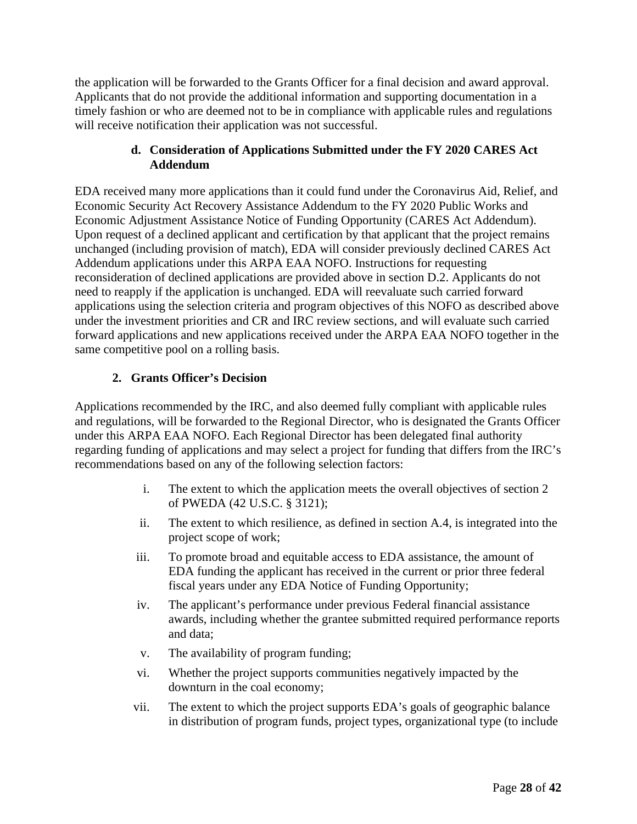the application will be forwarded to the Grants Officer for a final decision and award approval. Applicants that do not provide the additional information and supporting documentation in a timely fashion or who are deemed not to be in compliance with applicable rules and regulations will receive notification their application was not successful.

#### **d. Consideration of Applications Submitted under the FY 2020 CARES Act Addendum**

EDA received many more applications than it could fund under the Coronavirus Aid, Relief, and Economic Security Act Recovery Assistance Addendum to the FY 2020 Public Works and Economic Adjustment Assistance Notice of Funding Opportunity (CARES Act Addendum). Upon request of a declined applicant and certification by that applicant that the project remains unchanged (including provision of match), EDA will consider previously declined CARES Act Addendum applications under this ARPA EAA NOFO. Instructions for requesting reconsideration of declined applications are provided above in section D.2. Applicants do not need to reapply if the application is unchanged. EDA will reevaluate such carried forward applications using the selection criteria and program objectives of this NOFO as described above under the investment priorities and CR and IRC review sections, and will evaluate such carried forward applications and new applications received under the ARPA EAA NOFO together in the same competitive pool on a rolling basis.

### **2. Grants Officer's Decision**

<span id="page-27-0"></span>Applications recommended by the IRC, and also deemed fully compliant with applicable rules and regulations, will be forwarded to the Regional Director, who is designated the Grants Officer under this ARPA EAA NOFO. Each Regional Director has been delegated final authority regarding funding of applications and may select a project for funding that differs from the IRC's recommendations based on any of the following selection factors:

- i. The extent to which the application meets the overall objectives of section 2 of PWEDA (42 U.S.C. § 3121);
- ii. The extent to which resilience, as defined in section A.4, is integrated into the project scope of work;
- iii. To promote broad and equitable access to EDA assistance, the amount of EDA funding the applicant has received in the current or prior three federal fiscal years under any EDA Notice of Funding Opportunity;
- iv. The applicant's performance under previous Federal financial assistance awards, including whether the grantee submitted required performance reports and data;
- v. The availability of program funding;
- vi. Whether the project supports communities negatively impacted by the downturn in the coal economy;
- vii. The extent to which the project supports EDA's goals of geographic balance in distribution of program funds, project types, organizational type (to include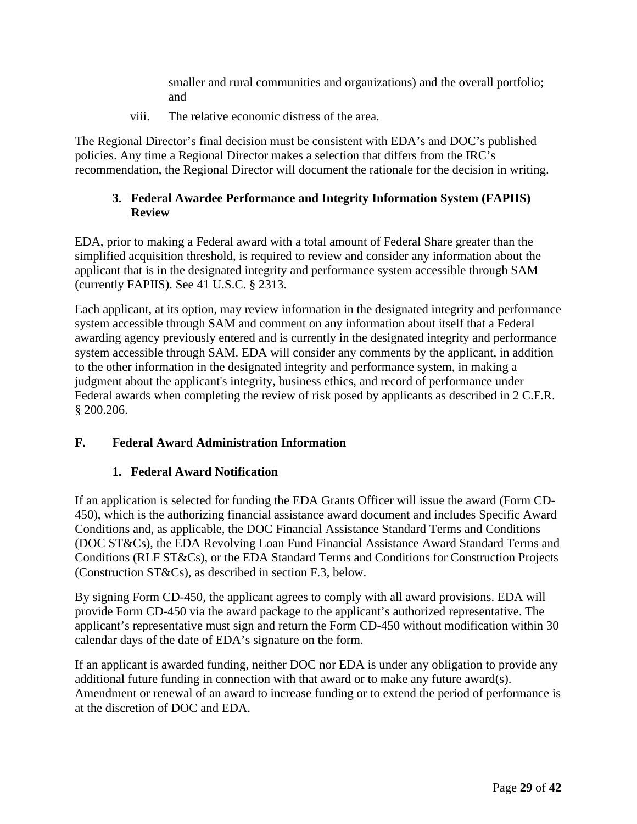smaller and rural communities and organizations) and the overall portfolio; and

viii. The relative economic distress of the area.

The Regional Director's final decision must be consistent with EDA's and DOC's published policies. Any time a Regional Director makes a selection that differs from the IRC's recommendation, the Regional Director will document the rationale for the decision in writing.

#### <span id="page-28-0"></span>**3. Federal Awardee Performance and Integrity Information System (FAPIIS) Review**

EDA, prior to making a Federal award with a total amount of Federal Share greater than the simplified acquisition threshold, is required to review and consider any information about the applicant that is in the designated integrity and performance system accessible through SAM (currently FAPIIS). See 41 U.S.C. § 2313.

Each applicant, at its option, may review information in the designated integrity and performance system accessible through SAM and comment on any information about itself that a Federal awarding agency previously entered and is currently in the designated integrity and performance system accessible through SAM. EDA will consider any comments by the applicant, in addition to the other information in the designated integrity and performance system, in making a judgment about the applicant's integrity, business ethics, and record of performance under Federal awards when completing the review of risk posed by applicants as described in 2 C.F.R. § 200.206.

#### <span id="page-28-2"></span><span id="page-28-1"></span>**F. Federal Award Administration Information**

#### **1. Federal Award Notification**

If an application is selected for funding the EDA Grants Officer will issue the award (Form CD-450), which is the authorizing financial assistance award document and includes Specific Award Conditions and, as applicable, the DOC Financial Assistance Standard Terms and Conditions (DOC ST&Cs), the EDA Revolving Loan Fund Financial Assistance Award Standard Terms and Conditions (RLF ST&Cs), or the EDA Standard Terms and Conditions for Construction Projects (Construction ST&Cs), as described in section F.3, below.

By signing Form CD-450, the applicant agrees to comply with all award provisions. EDA will provide Form CD-450 via the award package to the applicant's authorized representative. The applicant's representative must sign and return the Form CD-450 without modification within 30 calendar days of the date of EDA's signature on the form.

If an applicant is awarded funding, neither DOC nor EDA is under any obligation to provide any additional future funding in connection with that award or to make any future award(s). Amendment or renewal of an award to increase funding or to extend the period of performance is at the discretion of DOC and EDA.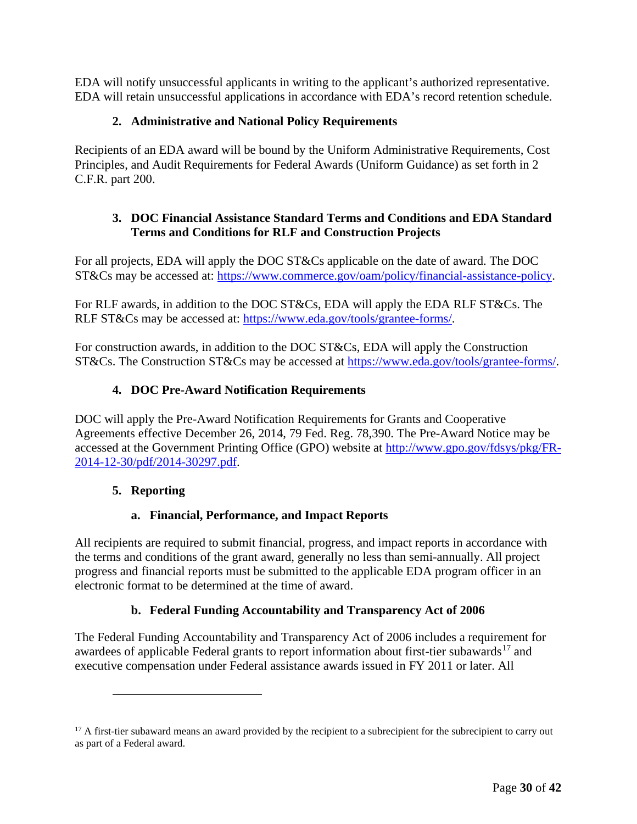EDA will notify unsuccessful applicants in writing to the applicant's authorized representative. EDA will retain unsuccessful applications in accordance with EDA's record retention schedule.

### **2. Administrative and National Policy Requirements**

<span id="page-29-0"></span>Recipients of an EDA award will be bound by the Uniform Administrative Requirements, Cost Principles, and Audit Requirements for Federal Awards (Uniform Guidance) as set forth in 2 C.F.R. part 200.

#### <span id="page-29-1"></span>**3. DOC Financial Assistance Standard Terms and Conditions and EDA Standard Terms and Conditions for RLF and Construction Projects**

For all projects, EDA will apply the DOC ST&Cs applicable on the date of award. The DOC ST&Cs may be accessed at: [https://www.commerce.gov/oam/policy/financial-assistance-policy.](https://www.commerce.gov/oam/policy/financial-assistance-policy)

For RLF awards, in addition to the DOC ST&Cs, EDA will apply the EDA RLF ST&Cs. The RLF ST&Cs may be accessed at: [https://www.eda.gov/tools/grantee-forms/.](https://www.eda.gov/tools/grantee-forms/)

For construction awards, in addition to the DOC ST&Cs, EDA will apply the Construction ST&Cs. The Construction ST&Cs may be accessed at [https://www.eda.gov/tools/grantee-forms/.](https://www.eda.gov/tools/grantee-forms/)

### **4. DOC Pre-Award Notification Requirements**

<span id="page-29-2"></span>DOC will apply the Pre-Award Notification Requirements for Grants and Cooperative Agreements effective December 26, 2014, 79 Fed. Reg. 78,390. The Pre-Award Notice may be accessed at the Government Printing Office (GPO) website at [http://www.gpo.gov/fdsys/pkg/FR-](http://www.gpo.gov/fdsys/pkg/FR-2014-12-30/pdf/2014-30297.pdf)[2014-12-30/pdf/2014-30297.pdf.](http://www.gpo.gov/fdsys/pkg/FR-2014-12-30/pdf/2014-30297.pdf)

#### <span id="page-29-3"></span>**5. Reporting**

#### **a. Financial, Performance, and Impact Reports**

All recipients are required to submit financial, progress, and impact reports in accordance with the terms and conditions of the grant award, generally no less than semi-annually. All project progress and financial reports must be submitted to the applicable EDA program officer in an electronic format to be determined at the time of award.

#### **b. Federal Funding Accountability and Transparency Act of 2006**

The Federal Funding Accountability and Transparency Act of 2006 includes a requirement for awardees of applicable Federal grants to report information about first-tier subawards<sup>[17](#page-29-4)</sup> and executive compensation under Federal assistance awards issued in FY 2011 or later. All

<span id="page-29-4"></span> $17$  A first-tier subaward means an award provided by the recipient to a subrecipient for the subrecipient to carry out as part of a Federal award.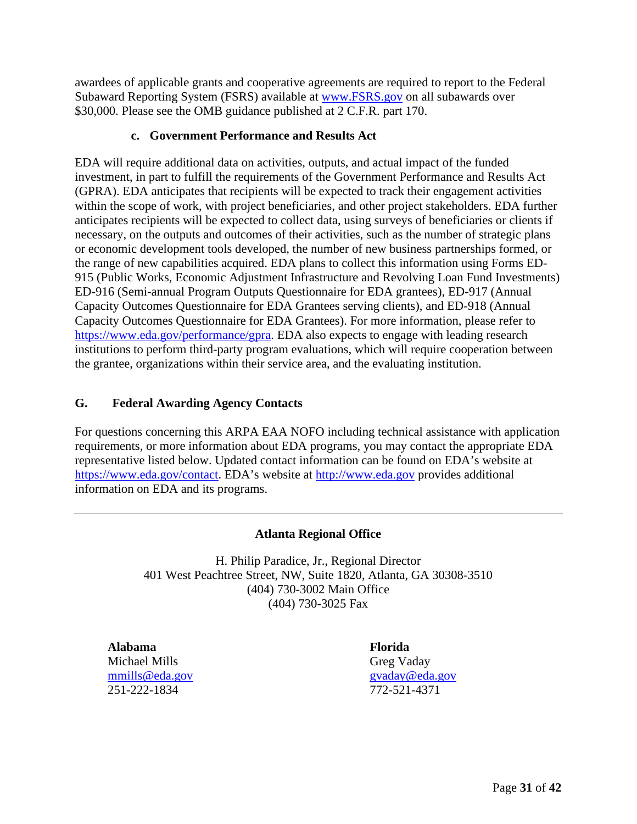awardees of applicable grants and cooperative agreements are required to report to the Federal Subaward Reporting System (FSRS) available at [www.FSRS.gov](http://www.fsrs.gov/) on all subawards over \$30,000. Please see the OMB guidance published at 2 C.F.R. part 170.

#### **c. Government Performance and Results Act**

EDA will require additional data on activities, outputs, and actual impact of the funded investment, in part to fulfill the requirements of the Government Performance and Results Act (GPRA). EDA anticipates that recipients will be expected to track their engagement activities within the scope of work, with project beneficiaries, and other project stakeholders. EDA further anticipates recipients will be expected to collect data, using surveys of beneficiaries or clients if necessary, on the outputs and outcomes of their activities, such as the number of strategic plans or economic development tools developed, the number of new business partnerships formed, or the range of new capabilities acquired. EDA plans to collect this information using Forms ED-915 (Public Works, Economic Adjustment Infrastructure and Revolving Loan Fund Investments) ED-916 (Semi-annual Program Outputs Questionnaire for EDA grantees), ED-917 (Annual Capacity Outcomes Questionnaire for EDA Grantees serving clients), and ED-918 (Annual Capacity Outcomes Questionnaire for EDA Grantees). For more information, please refer to [https://www.eda.gov/performance/gpra.](https://www.eda.gov/performance/gpra) EDA also expects to engage with leading research institutions to perform third-party program evaluations, which will require cooperation between the grantee, organizations within their service area, and the evaluating institution.

#### <span id="page-30-0"></span>**G. Federal Awarding Agency Contacts**

For questions concerning this ARPA EAA NOFO including technical assistance with application requirements, or more information about EDA programs, you may contact the appropriate EDA representative listed below. Updated contact information can be found on EDA's website at [https://www.eda.gov/contact.](https://www.eda.gov/contact) EDA's website at [http://www.eda.gov](http://www.eda.gov/) provides additional information on EDA and its programs.

#### **Atlanta Regional Office**

<span id="page-30-1"></span>H. Philip Paradice, Jr., Regional Director 401 West Peachtree Street, NW, Suite 1820, Atlanta, GA 30308-3510 (404) 730-3002 Main Office (404) 730-3025 Fax

**Alabama** Michael Mills [mmills@eda.gov](mailto:mmills@eda.gov) 251-222-1834

**Florida** Greg Vaday [gvaday@eda.gov](mailto:gvaday@eda.gov) 772-521-4371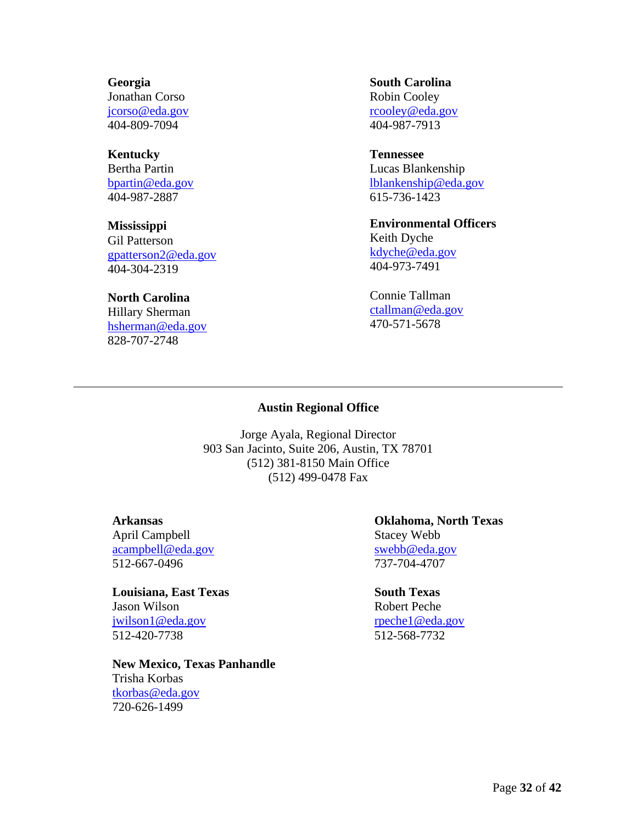#### **Georgia**

Jonathan Corso [jcorso@eda.gov](mailto:jcorso@eda.gov) 404-809-7094

#### **Kentucky**

Bertha Partin [bpartin@eda.gov](mailto:bpartin@eda.gov) 404-987-2887

#### **Mississippi**

Gil Patterson [gpatterson2@eda.gov](mailto:gpatterson2@eda.gov) 404-304-2319

#### **North Carolina**

<span id="page-31-0"></span>Hillary Sherman [hsherman@eda.gov](mailto:hsherman@eda.gov) 828-707-2748

#### **South Carolina**  Robin Cooley [rcooley@eda.gov](mailto:rcooley@eda.gov) 404-987-7913

#### **Tennessee**

Lucas Blankenship [lblankenship@eda.gov](mailto:lblankenship@eda.gov) 615-736-1423

**Environmental Officers** Keith Dyche [kdyche@eda.gov](mailto:kdyche@eda.gov) 404-973-7491

Connie Tallman [ctallman@eda.gov](mailto:ctallman@eda.gov) 470-571-5678

#### **Austin Regional Office**

Jorge Ayala, Regional Director 903 San Jacinto, Suite 206, Austin, TX 78701 (512) 381-8150 Main Office (512) 499-0478 Fax

#### **Arkansas**

April Campbell [acampbell@eda.gov](mailto:acampbell@eda.gov) 512-667-0496

#### **Louisiana, East Texas**

Jason Wilson [jwilson1@eda.gov](mailto:jwilson1@eda.gov) 512-420-7738

#### **New Mexico, Texas Panhandle** Trisha Korbas [tkorbas@eda.gov](mailto:tkorbas@eda.gov) 720-626-1499

#### **Oklahoma, North Texas** Stacey Webb [swebb@eda.gov](mailto:swebb@eda.gov) 737-704-4707

#### **South Texas**

Robert Peche [rpeche1@eda.gov](mailto:rpeche1@eda.gov) 512-568-7732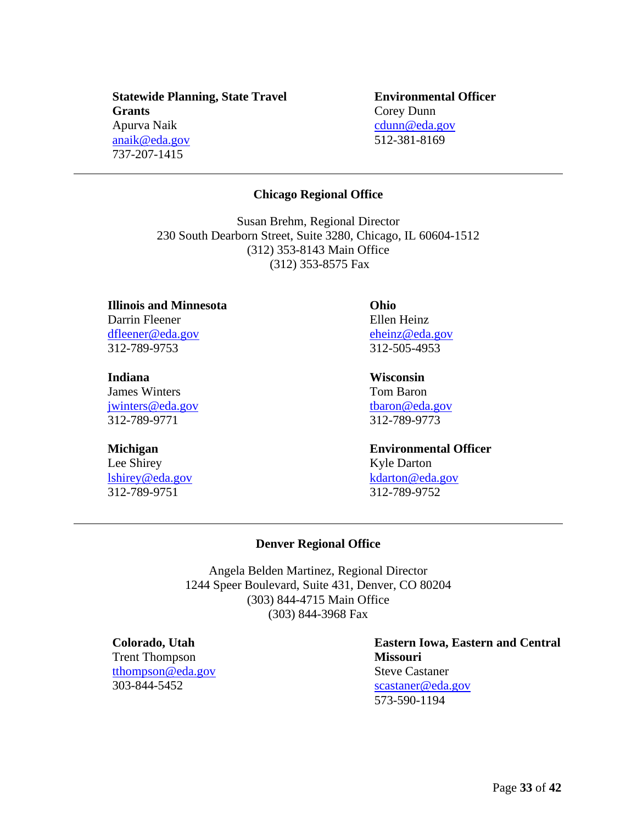**Statewide Planning, State Travel Grants** Apurva Naik [anaik@eda.gov](mailto:anaik@eda.gov) 737-207-1415

#### **Environmental Officer** Corey Dunn [cdunn@eda.gov](mailto:cdunn@eda.gov) 512-381-8169

#### **Chicago Regional Office**

<span id="page-32-0"></span>Susan Brehm, Regional Director 230 South Dearborn Street, Suite 3280, Chicago, IL 60604-1512 (312) 353-8143 Main Office (312) 353-8575 Fax

#### **Illinois and Minnesota**

Darrin Fleener [dfleener@eda.gov](mailto:dfleener@eda.gov) 312-789-9753

#### **Indiana**

James Winters [jwinters@eda.gov](mailto:jwinters@eda.gov) 312-789-9771

#### **Michigan**

<span id="page-32-1"></span>Lee Shirey [lshirey@eda.gov](mailto:lshirey@eda.gov) 312-789-9751

**Ohio** Ellen Heinz [eheinz@eda.gov](mailto:eheinz@eda.gov) 312-505-4953

#### **Wisconsin**

Tom Baron [tbaron@eda.gov](mailto:tbaron@eda.gov) 312-789-9773

#### **Environmental Officer** Kyle Darton

[kdarton@eda.gov](mailto:kdarton@eda.gov) 312-789-9752

#### **Denver Regional Office**

Angela Belden Martinez, Regional Director 1244 Speer Boulevard, Suite 431, Denver, CO 80204 (303) 844-4715 Main Office (303) 844-3968 Fax

**Colorado, Utah** Trent Thompson [tthompson@eda.gov](mailto:tthompson@eda.gov) 303-844-5452

**Eastern Iowa, Eastern and Central Missouri** Steve Castaner [scastaner@eda.gov](mailto:scastaner@eda.gov) 573-590-1194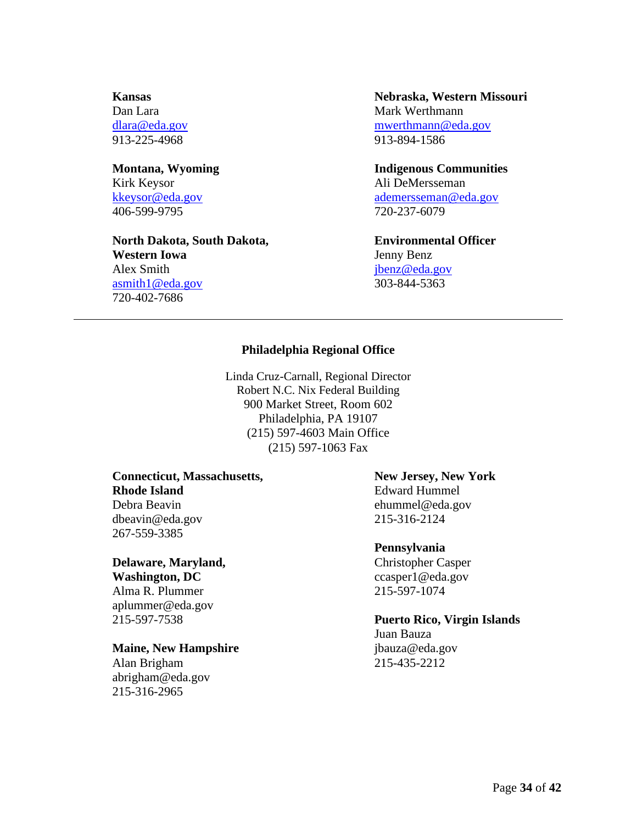#### **Kansas**

Dan Lara [dlara@eda.gov](mailto:dlara@eda.gov) 913-225-4968

**Montana, Wyoming**  Kirk Keysor [kkeysor@eda.gov](mailto:kkeysor@eda.gov) 406-599-9795

<span id="page-33-0"></span>**North Dakota, South Dakota, Western Iowa**  Alex Smith [asmith1@eda.gov](mailto:asmith1@eda.gov) 720-402-7686

**Nebraska, Western Missouri**  Mark Werthmann [mwerthmann@eda.gov](mailto:mwerthmann@eda.gov) 913-894-1586

**Indigenous Communities** Ali DeMersseman [ademersseman@eda.gov](mailto:ademersseman@eda.gov) 720-237-6079

**Environmental Officer**  Jenny Benz [jbenz@eda.gov](mailto:jbenz@eda.gov) 303-844-5363

#### **Philadelphia Regional Office**

Linda Cruz-Carnall, Regional Director Robert N.C. Nix Federal Building 900 Market Street, Room 602 Philadelphia, PA 19107 (215) 597-4603 Main Office (215) 597-1063 Fax

#### **Connecticut, Massachusetts, Rhode Island** Debra Beavin dbeavin@eda.gov 267-559-3385

**Delaware, Maryland, Washington, DC** Alma R. Plummer

aplummer@eda.gov 215-597-7538

#### **Maine, New Hampshire**

Alan Brigham abrigham@eda.gov 215-316-2965

#### **New Jersey, New York**

Edward Hummel ehummel@eda.gov 215-316-2124

#### **Pennsylvania**

Christopher Casper ccasper1@eda.gov 215-597-1074

**Puerto Rico, Virgin Islands**  Juan Bauza jbauza@eda.gov 215-435-2212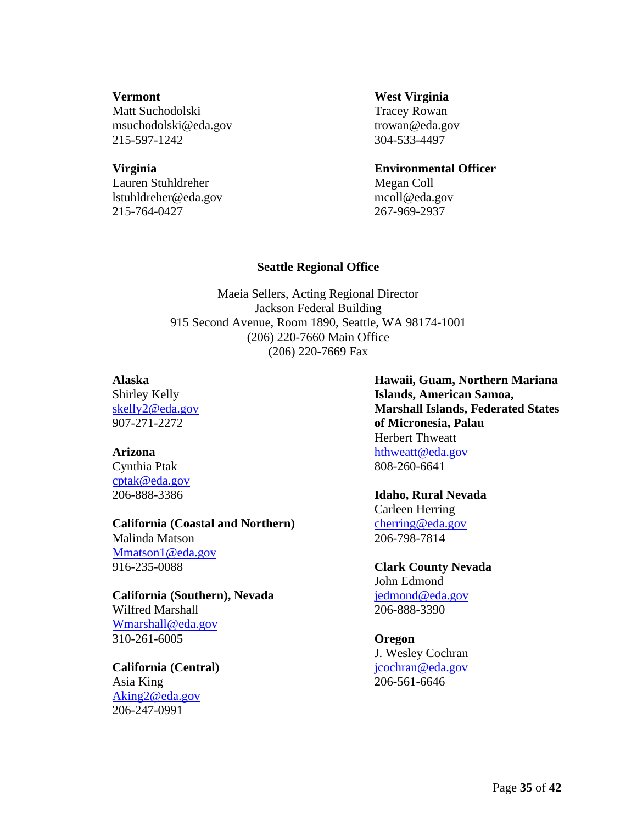#### **Vermont**

Matt Suchodolski msuchodolski@eda.gov 215-597-1242

#### **Virginia**

<span id="page-34-0"></span>Lauren Stuhldreher lstuhldreher@eda.gov 215-764-0427

#### **West Virginia**

Tracey Rowan trowan@eda.gov 304-533-4497

#### **Environmental Officer**

Megan Coll mcoll@eda.gov 267-969-2937

#### **Seattle Regional Office**

Maeia Sellers, Acting Regional Director Jackson Federal Building 915 Second Avenue, Room 1890, Seattle, WA 98174-1001 (206) 220-7660 Main Office (206) 220-7669 Fax

#### **Alaska**

Shirley Kelly [skelly2@eda.gov](mailto:skelly2@eda.gov) 907-271-2272

#### **Arizona**

Cynthia Ptak [cptak@eda.gov](mailto:cptak@eda.gov) 206-888-3386

#### **California (Coastal and Northern)**

Malinda Matson [Mmatson1@eda.gov](mailto:Mmatson1@eda.gov) 916-235-0088

#### **California (Southern), Nevada** Wilfred Marshall [Wmarshall@eda.gov](mailto:Wmarshall@eda.gov)

310-261-6005

**California (Central)** Asia King [Aking2@eda.gov](mailto:Aking2@eda.gov) 206-247-0991

**Hawaii, Guam, Northern Mariana Islands, American Samoa, Marshall Islands, Federated States of Micronesia, Palau**  Herbert Thweatt [hthweatt@eda.gov](mailto:hthweatt@eda.gov) 808-260-6641

#### **Idaho, Rural Nevada**

Carleen Herring [cherring@eda.gov](mailto:cherring@eda.gov) 206-798-7814

# **Clark County Nevada**

John Edmond [jedmond@eda.gov](mailto:jedmond@eda.gov) 206-888-3390

### **Oregon**

J. Wesley Cochran [jcochran@eda.gov](mailto:jcochran@eda.gov) 206-561-6646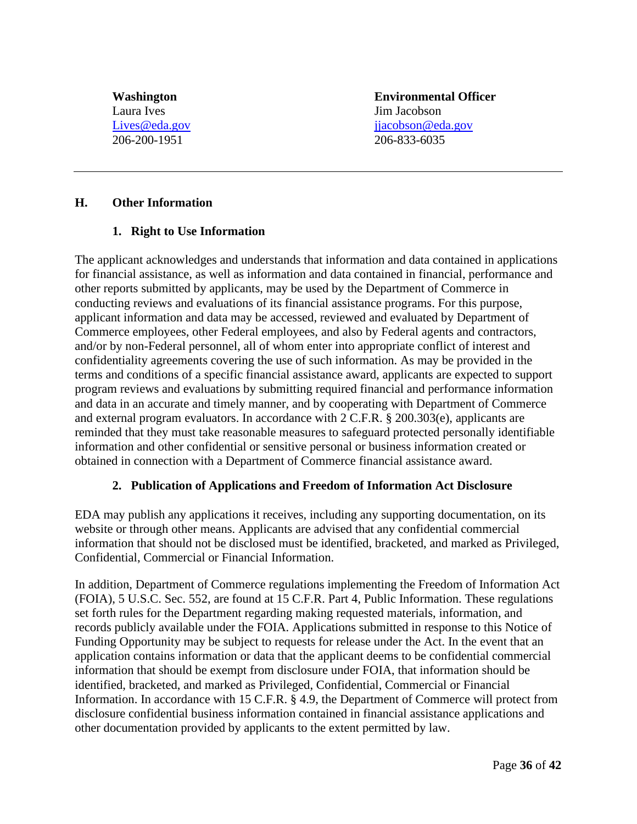**Washington** Laura Ives [Lives@eda.gov](mailto:Lives@eda.gov) 206-200-1951

**Environmental Officer** Jim Jacobson [jjacobson@eda.gov](mailto:jjacobson@eda.gov) 206-833-6035

#### <span id="page-35-1"></span><span id="page-35-0"></span>**H. Other Information**

#### **1. Right to Use Information**

The applicant acknowledges and understands that information and data contained in applications for financial assistance, as well as information and data contained in financial, performance and other reports submitted by applicants, may be used by the Department of Commerce in conducting reviews and evaluations of its financial assistance programs. For this purpose, applicant information and data may be accessed, reviewed and evaluated by Department of Commerce employees, other Federal employees, and also by Federal agents and contractors, and/or by non-Federal personnel, all of whom enter into appropriate conflict of interest and confidentiality agreements covering the use of such information. As may be provided in the terms and conditions of a specific financial assistance award, applicants are expected to support program reviews and evaluations by submitting required financial and performance information and data in an accurate and timely manner, and by cooperating with Department of Commerce and external program evaluators. In accordance with 2 C.F.R. § 200.303(e), applicants are reminded that they must take reasonable measures to safeguard protected personally identifiable information and other confidential or sensitive personal or business information created or obtained in connection with a Department of Commerce financial assistance award.

#### **2. Publication of Applications and Freedom of Information Act Disclosure**

<span id="page-35-2"></span>EDA may publish any applications it receives, including any supporting documentation, on its website or through other means. Applicants are advised that any confidential commercial information that should not be disclosed must be identified, bracketed, and marked as Privileged, Confidential, Commercial or Financial Information.

In addition, Department of Commerce regulations implementing the Freedom of Information Act (FOIA), 5 U.S.C. Sec. 552, are found at 15 C.F.R. Part 4, Public Information. These regulations set forth rules for the Department regarding making requested materials, information, and records publicly available under the FOIA. Applications submitted in response to this Notice of Funding Opportunity may be subject to requests for release under the Act. In the event that an application contains information or data that the applicant deems to be confidential commercial information that should be exempt from disclosure under FOIA, that information should be identified, bracketed, and marked as Privileged, Confidential, Commercial or Financial Information. In accordance with 15 C.F.R. § 4.9, the Department of Commerce will protect from disclosure confidential business information contained in financial assistance applications and other documentation provided by applicants to the extent permitted by law.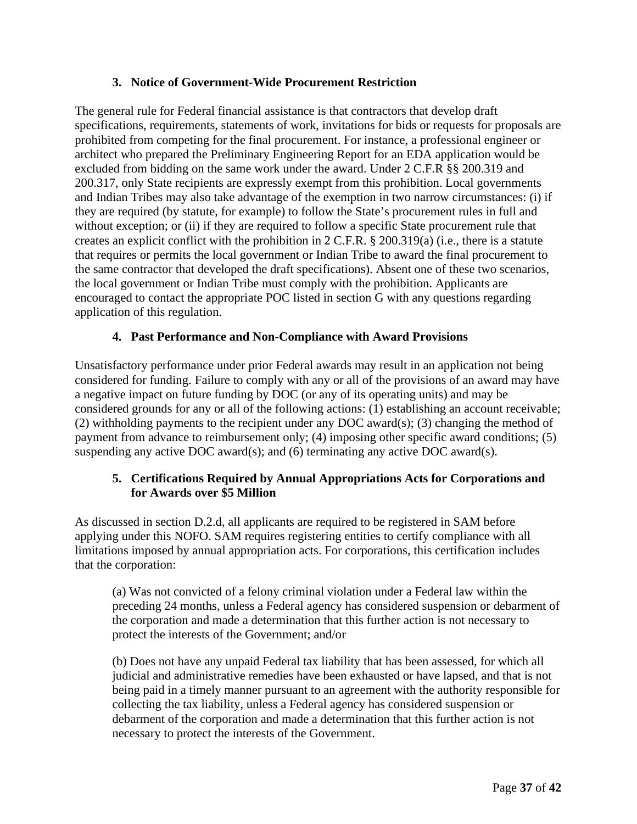#### **3. Notice of Government-Wide Procurement Restriction**

<span id="page-36-0"></span>The general rule for Federal financial assistance is that contractors that develop draft specifications, requirements, statements of work, invitations for bids or requests for proposals are prohibited from competing for the final procurement. For instance, a professional engineer or architect who prepared the Preliminary Engineering Report for an EDA application would be excluded from bidding on the same work under the award. Under 2 C.F.R §§ 200.319 and 200.317, only State recipients are expressly exempt from this prohibition. Local governments and Indian Tribes may also take advantage of the exemption in two narrow circumstances: (i) if they are required (by statute, for example) to follow the State's procurement rules in full and without exception; or (ii) if they are required to follow a specific State procurement rule that creates an explicit conflict with the prohibition in 2 C.F.R. § 200.319(a) (i.e., there is a statute that requires or permits the local government or Indian Tribe to award the final procurement to the same contractor that developed the draft specifications). Absent one of these two scenarios, the local government or Indian Tribe must comply with the prohibition. Applicants are encouraged to contact the appropriate POC listed in section G with any questions regarding application of this regulation.

#### **4. Past Performance and Non-Compliance with Award Provisions**

<span id="page-36-1"></span>Unsatisfactory performance under prior Federal awards may result in an application not being considered for funding. Failure to comply with any or all of the provisions of an award may have a negative impact on future funding by DOC (or any of its operating units) and may be considered grounds for any or all of the following actions: (1) establishing an account receivable; (2) withholding payments to the recipient under any DOC award(s); (3) changing the method of payment from advance to reimbursement only; (4) imposing other specific award conditions; (5) suspending any active DOC award(s); and (6) terminating any active DOC award(s).

#### <span id="page-36-2"></span>**5. Certifications Required by Annual Appropriations Acts for Corporations and for Awards over \$5 Million**

As discussed in section D.2.d, all applicants are required to be registered in SAM before applying under this NOFO. SAM requires registering entities to certify compliance with all limitations imposed by annual appropriation acts. For corporations, this certification includes that the corporation:

(a) Was not convicted of a felony criminal violation under a Federal law within the preceding 24 months, unless a Federal agency has considered suspension or debarment of the corporation and made a determination that this further action is not necessary to protect the interests of the Government; and/or

(b) Does not have any unpaid Federal tax liability that has been assessed, for which all judicial and administrative remedies have been exhausted or have lapsed, and that is not being paid in a timely manner pursuant to an agreement with the authority responsible for collecting the tax liability, unless a Federal agency has considered suspension or debarment of the corporation and made a determination that this further action is not necessary to protect the interests of the Government.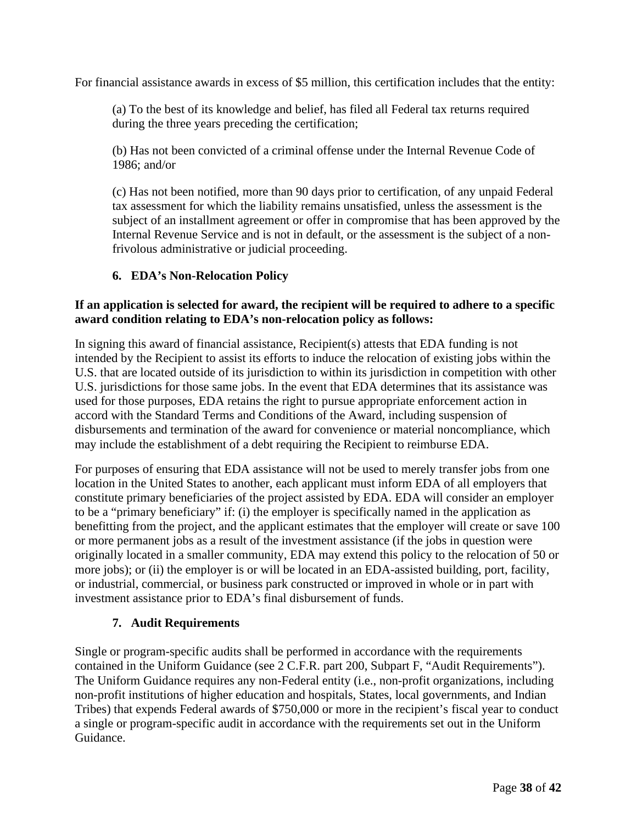For financial assistance awards in excess of \$5 million, this certification includes that the entity:

(a) To the best of its knowledge and belief, has filed all Federal tax returns required during the three years preceding the certification;

(b) Has not been convicted of a criminal offense under the Internal Revenue Code of 1986; and/or

(c) Has not been notified, more than 90 days prior to certification, of any unpaid Federal tax assessment for which the liability remains unsatisfied, unless the assessment is the subject of an installment agreement or offer in compromise that has been approved by the Internal Revenue Service and is not in default, or the assessment is the subject of a nonfrivolous administrative or judicial proceeding.

#### **6. EDA's Non-Relocation Policy**

#### <span id="page-37-0"></span>**If an application is selected for award, the recipient will be required to adhere to a specific award condition relating to EDA's non-relocation policy as follows:**

In signing this award of financial assistance, Recipient(s) attests that EDA funding is not intended by the Recipient to assist its efforts to induce the relocation of existing jobs within the U.S. that are located outside of its jurisdiction to within its jurisdiction in competition with other U.S. jurisdictions for those same jobs. In the event that EDA determines that its assistance was used for those purposes, EDA retains the right to pursue appropriate enforcement action in accord with the Standard Terms and Conditions of the Award, including suspension of disbursements and termination of the award for convenience or material noncompliance, which may include the establishment of a debt requiring the Recipient to reimburse EDA.

For purposes of ensuring that EDA assistance will not be used to merely transfer jobs from one location in the United States to another, each applicant must inform EDA of all employers that constitute primary beneficiaries of the project assisted by EDA. EDA will consider an employer to be a "primary beneficiary" if: (i) the employer is specifically named in the application as benefitting from the project, and the applicant estimates that the employer will create or save 100 or more permanent jobs as a result of the investment assistance (if the jobs in question were originally located in a smaller community, EDA may extend this policy to the relocation of 50 or more jobs); or (ii) the employer is or will be located in an EDA-assisted building, port, facility, or industrial, commercial, or business park constructed or improved in whole or in part with investment assistance prior to EDA's final disbursement of funds.

#### **7. Audit Requirements**

<span id="page-37-1"></span>Single or program-specific audits shall be performed in accordance with the requirements contained in the Uniform Guidance (see 2 C.F.R. part 200, Subpart F, "Audit Requirements"). The Uniform Guidance requires any non-Federal entity (i.e., non-profit organizations, including non-profit institutions of higher education and hospitals, States, local governments, and Indian Tribes) that expends Federal awards of \$750,000 or more in the recipient's fiscal year to conduct a single or program-specific audit in accordance with the requirements set out in the Uniform Guidance.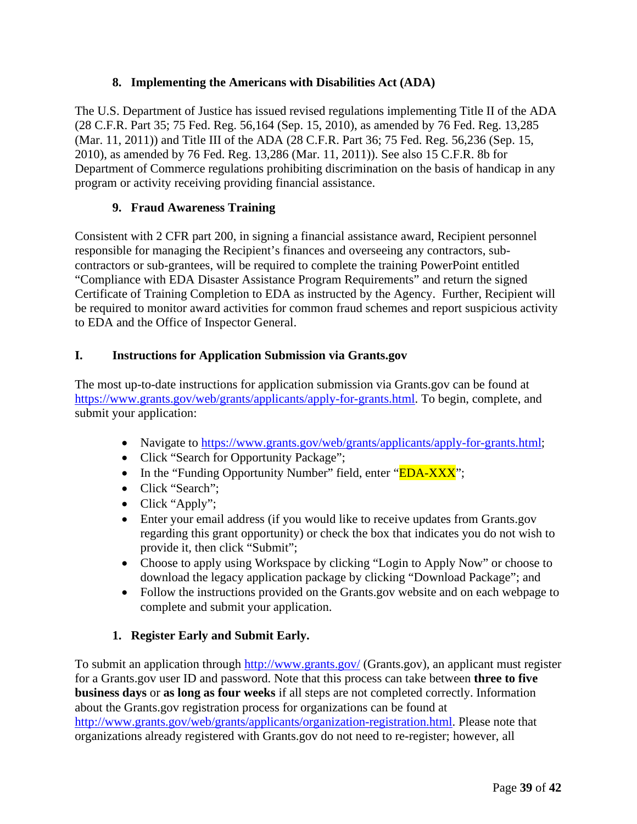### **8. Implementing the Americans with Disabilities Act (ADA)**

<span id="page-38-0"></span>The U.S. Department of Justice has issued revised regulations implementing Title II of the ADA (28 C.F.R. Part 35; 75 Fed. Reg. 56,164 (Sep. 15, 2010), as amended by 76 Fed. Reg. 13,285 (Mar. 11, 2011)) and Title III of the ADA (28 C.F.R. Part 36; 75 Fed. Reg. 56,236 (Sep. 15, 2010), as amended by 76 Fed. Reg. 13,286 (Mar. 11, 2011)). See also 15 C.F.R. 8b for Department of Commerce regulations prohibiting discrimination on the basis of handicap in any program or activity receiving providing financial assistance.

### **9. Fraud Awareness Training**

<span id="page-38-1"></span>Consistent with 2 CFR part 200, in signing a financial assistance award, Recipient personnel responsible for managing the Recipient's finances and overseeing any contractors, subcontractors or sub-grantees, will be required to complete the training PowerPoint entitled "Compliance with EDA Disaster Assistance Program Requirements" and return the signed Certificate of Training Completion to EDA as instructed by the Agency. Further, Recipient will be required to monitor award activities for common fraud schemes and report suspicious activity to EDA and the Office of Inspector General.

### <span id="page-38-2"></span>**I. Instructions for Application Submission via Grants.gov**

The most up-to-date instructions for application submission via Grants.gov can be found at [https://www.grants.gov/web/grants/applicants/apply-for-grants.html.](https://www.grants.gov/web/grants/applicants/apply-for-grants.html) To begin, complete, and submit your application:

- Navigate to [https://www.grants.gov/web/grants/applicants/apply-for-grants.html;](https://www.grants.gov/web/grants/applicants/apply-for-grants.html)
- Click "Search for Opportunity Package";
- In the "Funding Opportunity Number" field, enter "EDA-XXX";
- Click "Search";
- Click "Apply";
- Enter your email address (if you would like to receive updates from Grants.gov regarding this grant opportunity) or check the box that indicates you do not wish to provide it, then click "Submit";
- Choose to apply using Workspace by clicking "Login to Apply Now" or choose to download the legacy application package by clicking "Download Package"; and
- Follow the instructions provided on the Grants.gov website and on each webpage to complete and submit your application.

### **1. Register Early and Submit Early.**

<span id="page-38-3"></span>To submit an application through<http://www.grants.gov/> (Grants.gov), an applicant must register for a Grants.gov user ID and password. Note that this process can take between **three to five business days** or **as long as four weeks** if all steps are not completed correctly. Information about the Grants.gov registration process for organizations can be found at [http://www.grants.gov/web/grants/applicants/organization-registration.html.](http://www.grants.gov/web/grants/applicants/organization-registration.html) Please note that organizations already registered with Grants.gov do not need to re-register; however, all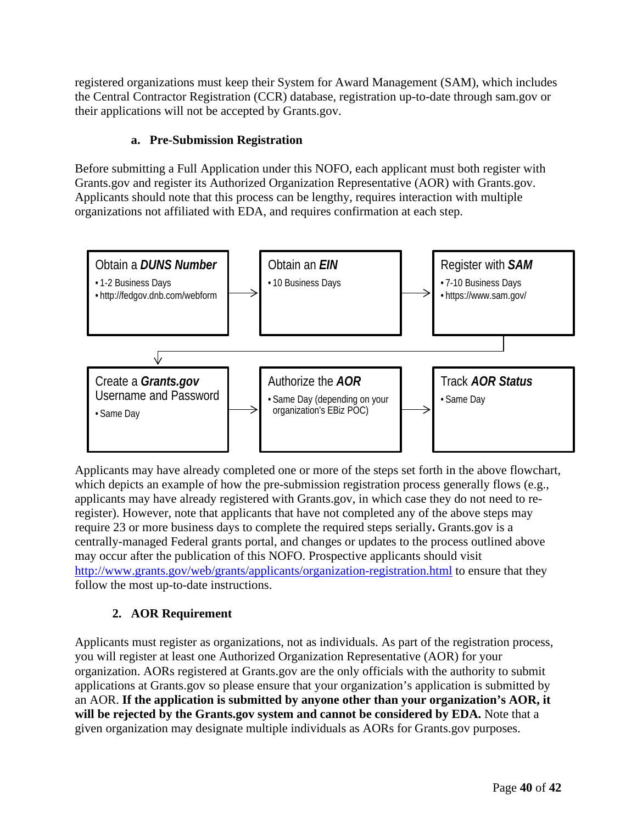registered organizations must keep their System for Award Management (SAM), which includes the Central Contractor Registration (CCR) database, registration up-to-date through sam.gov or their applications will not be accepted by Grants.gov.

### **a. Pre-Submission Registration**

Before submitting a Full Application under this NOFO, each applicant must both register with Grants.gov and register its Authorized Organization Representative (AOR) with Grants.gov. Applicants should note that this process can be lengthy, requires interaction with multiple organizations not affiliated with EDA, and requires confirmation at each step.



Applicants may have already completed one or more of the steps set forth in the above flowchart, which depicts an example of how the pre-submission registration process generally flows (e.g., applicants may have already registered with Grants.gov, in which case they do not need to reregister). However, note that applicants that have not completed any of the above steps may require 23 or more business days to complete the required steps serially**.** Grants.gov is a centrally-managed Federal grants portal, and changes or updates to the process outlined above may occur after the publication of this NOFO. Prospective applicants should visit <http://www.grants.gov/web/grants/applicants/organization-registration.html> to ensure that they follow the most up-to-date instructions.

# **2. AOR Requirement**

<span id="page-39-0"></span>Applicants must register as organizations, not as individuals. As part of the registration process, you will register at least one Authorized Organization Representative (AOR) for your organization. AORs registered at Grants.gov are the only officials with the authority to submit applications at Grants.gov so please ensure that your organization's application is submitted by an AOR. **If the application is submitted by anyone other than your organization's AOR, it will be rejected by the Grants.gov system and cannot be considered by EDA.** Note that a given organization may designate multiple individuals as AORs for Grants.gov purposes.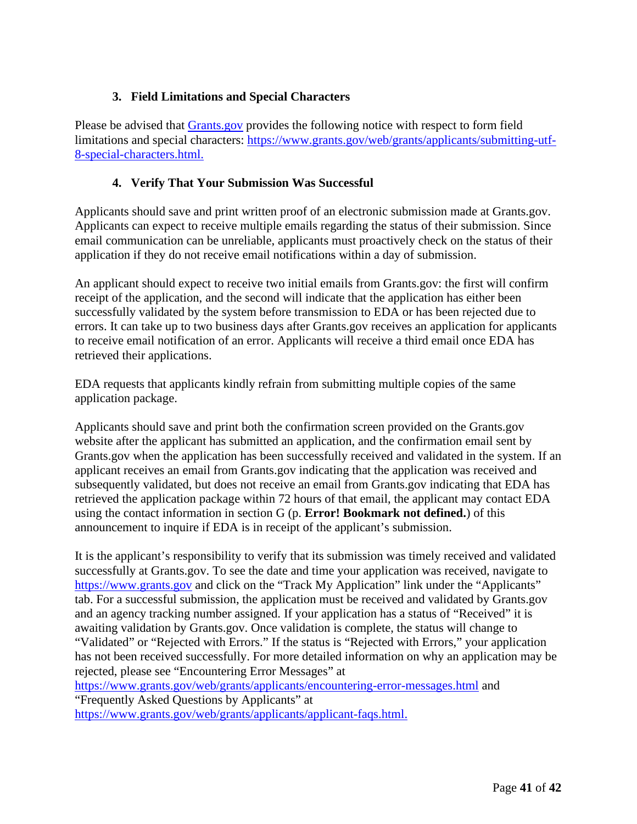### **3. Field Limitations and Special Characters**

<span id="page-40-0"></span>Please be advised that **Grants.gov** provides the following notice with respect to form field limitations and special characters: [https://www.grants.gov/web/grants/applicants/submitting-utf-](https://www.grants.gov/web/grants/applicants/submitting-utf-8-special-characters.html)[8-special-characters.html.](https://www.grants.gov/web/grants/applicants/submitting-utf-8-special-characters.html)

#### **4. Verify That Your Submission Was Successful**

<span id="page-40-1"></span>Applicants should save and print written proof of an electronic submission made at Grants.gov. Applicants can expect to receive multiple emails regarding the status of their submission. Since email communication can be unreliable, applicants must proactively check on the status of their application if they do not receive email notifications within a day of submission.

An applicant should expect to receive two initial emails from Grants.gov: the first will confirm receipt of the application, and the second will indicate that the application has either been successfully validated by the system before transmission to EDA or has been rejected due to errors. It can take up to two business days after Grants.gov receives an application for applicants to receive email notification of an error. Applicants will receive a third email once EDA has retrieved their applications.

EDA requests that applicants kindly refrain from submitting multiple copies of the same application package.

Applicants should save and print both the confirmation screen provided on the Grants.gov website after the applicant has submitted an application, and the confirmation email sent by Grants.gov when the application has been successfully received and validated in the system. If an applicant receives an email from Grants.gov indicating that the application was received and subsequently validated, but does not receive an email from [Grants.gov i](http://www.grants.gov/)ndicating that EDA has retrieved the application package within 72 hours of that email, the applicant may contact EDA using the contact information in section G (p. **Error! Bookmark not defined.**) of this announcement to inquire if EDA is in receipt of the applicant's submission.

It is the applicant's responsibility to verify that its submission was timely received and validated successfully at Grants.gov. To see the date and time your application was received, navigate to [https://www.grants.gov](https://www.grants.gov/) and click on the "Track My Application" link under the "Applicants" tab. For a successful submission, the application must be received and validated by Grants.gov and an agency tracking number assigned. If your application has a status of "Received" it is awaiting validation by Grants.gov. Once validation is complete, the status will change to "Validated" or "Rejected with Errors." If the status is "Rejected with Errors," your application has not been received successfully. For more detailed information on why an application may be rejected, please see "Encountering Error Messages" at

<https://www.grants.gov/web/grants/applicants/encountering-error-messages.html> and "Frequently Asked Questions by Applicants" at

[https://www.grants.gov/web/grants/applicants/applicant-faqs.html.](https://www.grants.gov/web/grants/applicants/applicant-faqs.html)